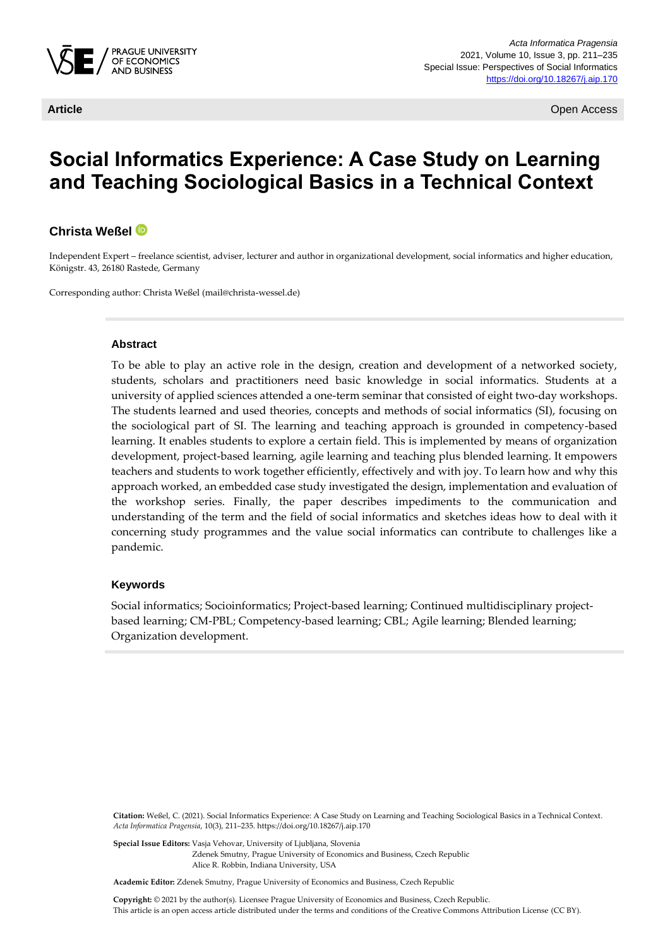

**Article** Open Access

# **Social Informatics Experience: A Case Study on Learning and Teaching Sociological Basics in a Technical Context**

#### **Christa Weßel**

Independent Expert – freelance scientist, adviser, lecturer and author in organizational development, social informatics and higher education, Königstr. 43, 26180 Rastede, Germany

Corresponding author: Christa Weßel (mail@christa-wessel.de)

#### **Abstract**

To be able to play an active role in the design, creation and development of a networked society, students, scholars and practitioners need basic knowledge in social informatics. Students at a university of applied sciences attended a one-term seminar that consisted of eight two-day workshops. The students learned and used theories, concepts and methods of social informatics (SI), focusing on the sociological part of SI. The learning and teaching approach is grounded in competency-based learning. It enables students to explore a certain field. This is implemented by means of organization development, project-based learning, agile learning and teaching plus blended learning. It empowers teachers and students to work together efficiently, effectively and with joy. To learn how and why this approach worked, an embedded case study investigated the design, implementation and evaluation of the workshop series. Finally, the paper describes impediments to the communication and understanding of the term and the field of social informatics and sketches ideas how to deal with it concerning study programmes and the value social informatics can contribute to challenges like a pandemic.

#### **Keywords**

Social informatics; Socioinformatics; Project-based learning; Continued multidisciplinary projectbased learning; CM-PBL; Competency-based learning; CBL; Agile learning; Blended learning; Organization development.

**Citation:** Weßel, C. (2021). Social Informatics Experience: A Case Study on Learning and Teaching Sociological Basics in a Technical Context. *Acta Informatica Pragensia*, 10(3), 211–235. https://doi.org/10.18267/j.aip.170

**Special Issue Editors:** Vasja Vehovar, University of Ljubljana, Slovenia Zdenek Smutny, Prague University of Economics and Business, Czech Republic Alice R. Robbin, Indiana University, USA

**Academic Editor:** Zdenek Smutny, Prague University of Economics and Business, Czech Republic

**Copyright:** © 2021 by the author(s). Licensee Prague University of Economics and Business, Czech Republic. This article is an open access article distributed under the terms and conditions of the Creative Commons Attribution License (CC BY).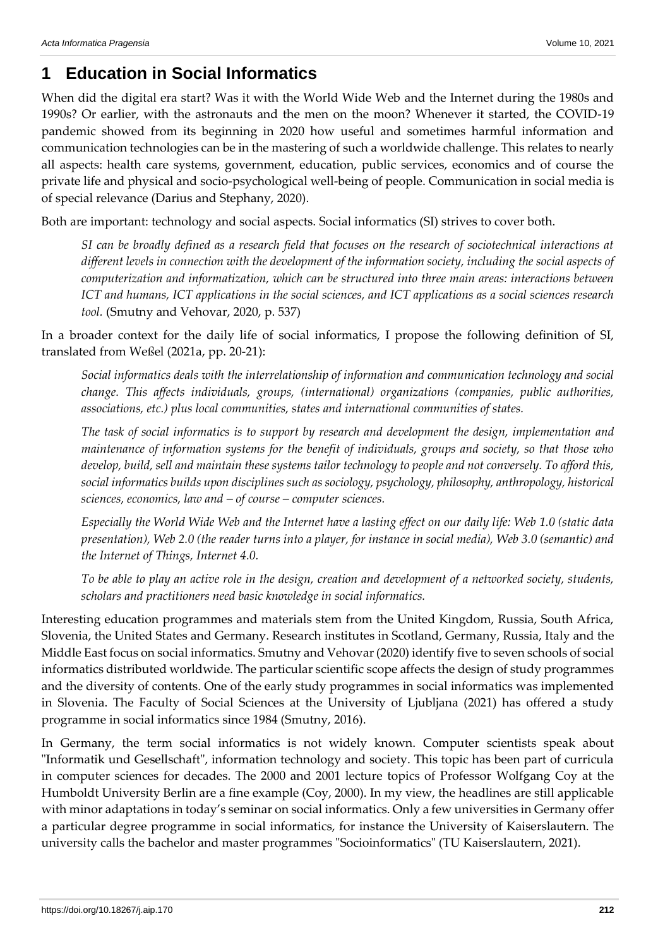# **1 Education in Social Informatics**

When did the digital era start? Was it with the World Wide Web and the Internet during the 1980s and 1990s? Or earlier, with the astronauts and the men on the moon? Whenever it started, the COVID-19 pandemic showed from its beginning in 2020 how useful and sometimes harmful information and communication technologies can be in the mastering of such a worldwide challenge. This relates to nearly all aspects: health care systems, government, education, public services, economics and of course the private life and physical and socio-psychological well-being of people. Communication in social media is of special relevance (Darius and Stephany, 2020).

Both are important: technology and social aspects. Social informatics (SI) strives to cover both.

*SI can be broadly defined as a research field that focuses on the research of sociotechnical interactions at different levels in connection with the development of the information society, including the social aspects of computerization and informatization, which can be structured into three main areas: interactions between ICT and humans, ICT applications in the social sciences, and ICT applications as a social sciences research tool.* (Smutny and Vehovar, 2020, p. 537)

In a broader context for the daily life of social informatics, I propose the following definition of SI, translated from Weßel (2021a, pp. 20-21):

*Social informatics deals with the interrelationship of information and communication technology and social change. This affects individuals, groups, (international) organizations (companies, public authorities, associations, etc.) plus local communities, states and international communities of states.*

*The task of social informatics is to support by research and development the design, implementation and maintenance of information systems for the benefit of individuals, groups and society, so that those who develop, build, sell and maintain these systems tailor technology to people and not conversely. To afford this, social informatics builds upon disciplines such as sociology, psychology, philosophy, anthropology, historical sciences, economics, law and – of course – computer sciences.*

*Especially the World Wide Web and the Internet have a lasting effect on our daily life: Web 1.0 (static data presentation), Web 2.0 (the reader turns into a player, for instance in social media), Web 3.0 (semantic) and the Internet of Things, Internet 4.0.*

*To be able to play an active role in the design, creation and development of a networked society, students, scholars and practitioners need basic knowledge in social informatics.*

Interesting education programmes and materials stem from the United Kingdom, Russia, South Africa, Slovenia, the United States and Germany. Research institutes in Scotland, Germany, Russia, Italy and the Middle East focus on social informatics. Smutny and Vehovar (2020) identify five to seven schools of social informatics distributed worldwide. The particular scientific scope affects the design of study programmes and the diversity of contents. One of the early study programmes in social informatics was implemented in Slovenia. The Faculty of Social Sciences at the University of Ljubljana (2021) has offered a study programme in social informatics since 1984 (Smutny, 2016).

In Germany, the term social informatics is not widely known. Computer scientists speak about "Informatik und Gesellschaft", information technology and society. This topic has been part of curricula in computer sciences for decades. The 2000 and 2001 lecture topics of Professor Wolfgang Coy at the Humboldt University Berlin are a fine example (Coy, 2000). In my view, the headlines are still applicable with minor adaptations in today's seminar on social informatics. Only a few universities in Germany offer a particular degree programme in social informatics, for instance the University of Kaiserslautern. The university calls the bachelor and master programmes "Socioinformatics" (TU Kaiserslautern, 2021).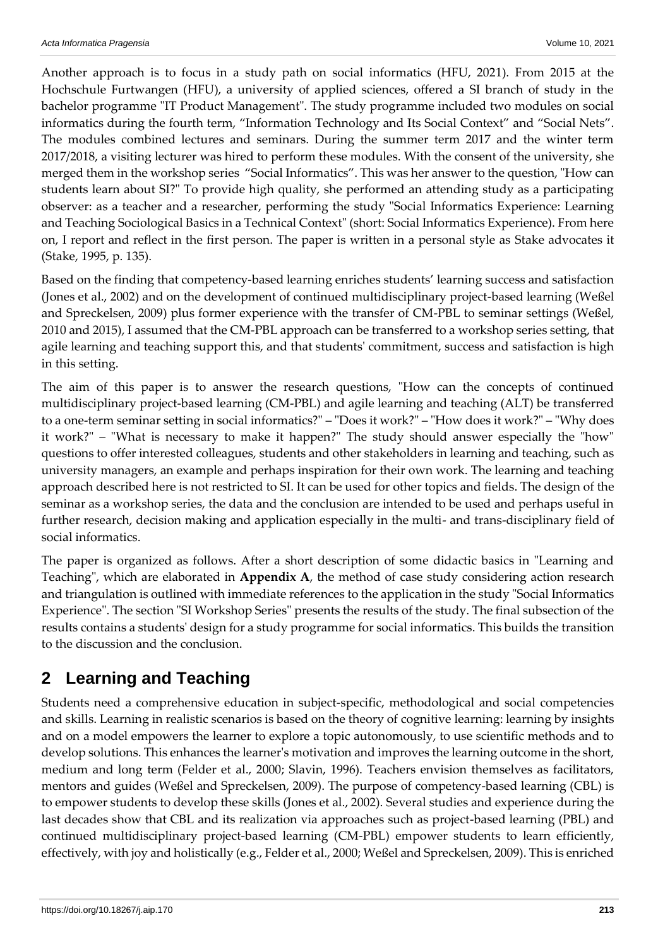Another approach is to focus in a study path on social informatics (HFU, 2021). From 2015 at the Hochschule Furtwangen (HFU), a university of applied sciences, offered a SI branch of study in the bachelor programme "IT Product Management". The study programme included two modules on social informatics during the fourth term, "Information Technology and Its Social Context" and "Social Nets". The modules combined lectures and seminars. During the summer term 2017 and the winter term 2017/2018, a visiting lecturer was hired to perform these modules. With the consent of the university, she merged them in the workshop series "Social Informatics". This was her answer to the question, "How can students learn about SI?" To provide high quality, she performed an attending study as a participating observer: as a teacher and a researcher, performing the study "Social Informatics Experience: Learning and Teaching Sociological Basics in a Technical Context" (short: Social Informatics Experience). From here on, I report and reflect in the first person. The paper is written in a personal style as Stake advocates it (Stake, 1995, p. 135).

Based on the finding that competency-based learning enriches students' learning success and satisfaction (Jones et al., 2002) and on the development of continued multidisciplinary project-based learning (Weßel and Spreckelsen, 2009) plus former experience with the transfer of CM-PBL to seminar settings (Weßel, 2010 and 2015), I assumed that the CM-PBL approach can be transferred to a workshop series setting, that agile learning and teaching support this, and that students' commitment, success and satisfaction is high in this setting.

The aim of this paper is to answer the research questions, "How can the concepts of continued multidisciplinary project-based learning (CM-PBL) and agile learning and teaching (ALT) be transferred to a one-term seminar setting in social informatics?" – "Does it work?" – "How does it work?" – "Why does it work?" – "What is necessary to make it happen?" The study should answer especially the "how" questions to offer interested colleagues, students and other stakeholders in learning and teaching, such as university managers, an example and perhaps inspiration for their own work. The learning and teaching approach described here is not restricted to SI. It can be used for other topics and fields. The design of the seminar as a workshop series, the data and the conclusion are intended to be used and perhaps useful in further research, decision making and application especially in the multi- and trans-disciplinary field of social informatics.

The paper is organized as follows. After a short description of some didactic basics in "Learning and Teaching", which are elaborated in **Appendix A**, the method of case study considering action research and triangulation is outlined with immediate references to the application in the study "Social Informatics Experience". The section "SI Workshop Series" presents the results of the study. The final subsection of the results contains a students' design for a study programme for social informatics. This builds the transition to the discussion and the conclusion.

# **2 Learning and Teaching**

Students need a comprehensive education in subject-specific, methodological and social competencies and skills. Learning in realistic scenarios is based on the theory of cognitive learning: learning by insights and on a model empowers the learner to explore a topic autonomously, to use scientific methods and to develop solutions. This enhances the learner's motivation and improves the learning outcome in the short, medium and long term (Felder et al., 2000; Slavin, 1996). Teachers envision themselves as facilitators, mentors and guides (Weßel and Spreckelsen, 2009). The purpose of competency-based learning (CBL) is to empower students to develop these skills (Jones et al., 2002). Several studies and experience during the last decades show that CBL and its realization via approaches such as project-based learning (PBL) and continued multidisciplinary project-based learning (CM-PBL) empower students to learn efficiently, effectively, with joy and holistically (e.g., Felder et al., 2000; Weßel and Spreckelsen, 2009). This is enriched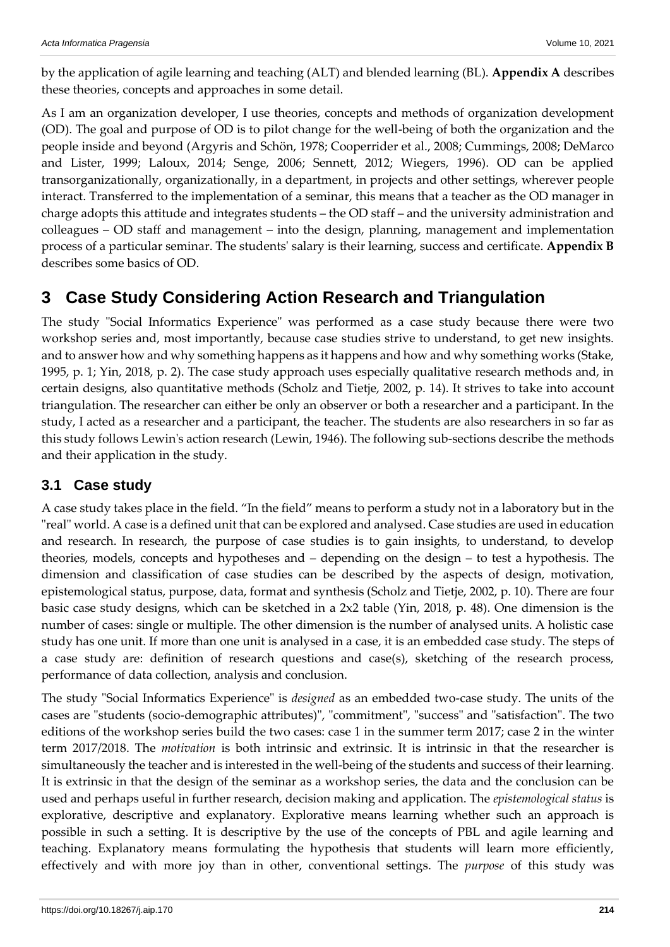by the application of agile learning and teaching (ALT) and blended learning (BL). **Appendix A** describes these theories, concepts and approaches in some detail.

As I am an organization developer, I use theories, concepts and methods of organization development (OD). The goal and purpose of OD is to pilot change for the well-being of both the organization and the people inside and beyond (Argyris and Schön, 1978; Cooperrider et al., 2008; Cummings, 2008; DeMarco and Lister, 1999; Laloux, 2014; Senge, 2006; Sennett, 2012; Wiegers, 1996). OD can be applied transorganizationally, organizationally, in a department, in projects and other settings, wherever people interact. Transferred to the implementation of a seminar, this means that a teacher as the OD manager in charge adopts this attitude and integrates students – the OD staff – and the university administration and colleagues – OD staff and management – into the design, planning, management and implementation process of a particular seminar. The students' salary is their learning, success and certificate. **Appendix B** describes some basics of OD.

## **3 Case Study Considering Action Research and Triangulation**

The study "Social Informatics Experience" was performed as a case study because there were two workshop series and, most importantly, because case studies strive to understand, to get new insights. and to answer how and why something happens as it happens and how and why something works (Stake, 1995, p. 1; Yin, 2018, p. 2). The case study approach uses especially qualitative research methods and, in certain designs, also quantitative methods (Scholz and Tietje, 2002, p. 14). It strives to take into account triangulation. The researcher can either be only an observer or both a researcher and a participant. In the study, I acted as a researcher and a participant, the teacher. The students are also researchers in so far as this study follows Lewin's action research (Lewin, 1946). The following sub-sections describe the methods and their application in the study.

## **3.1 Case study**

A case study takes place in the field. "In the field" means to perform a study not in a laboratory but in the "real" world. A case is a defined unit that can be explored and analysed. Case studies are used in education and research. In research, the purpose of case studies is to gain insights, to understand, to develop theories, models, concepts and hypotheses and – depending on the design – to test a hypothesis. The dimension and classification of case studies can be described by the aspects of design, motivation, epistemological status, purpose, data, format and synthesis (Scholz and Tietje, 2002, p. 10). There are four basic case study designs, which can be sketched in a 2x2 table (Yin, 2018, p. 48). One dimension is the number of cases: single or multiple. The other dimension is the number of analysed units. A holistic case study has one unit. If more than one unit is analysed in a case, it is an embedded case study. The steps of a case study are: definition of research questions and case(s), sketching of the research process, performance of data collection, analysis and conclusion.

The study "Social Informatics Experience" is *designed* as an embedded two-case study. The units of the cases are "students (socio-demographic attributes)", "commitment", "success" and "satisfaction". The two editions of the workshop series build the two cases: case 1 in the summer term 2017; case 2 in the winter term 2017/2018. The *motivation* is both intrinsic and extrinsic. It is intrinsic in that the researcher is simultaneously the teacher and is interested in the well-being of the students and success of their learning. It is extrinsic in that the design of the seminar as a workshop series, the data and the conclusion can be used and perhaps useful in further research, decision making and application. The *epistemological status* is explorative, descriptive and explanatory. Explorative means learning whether such an approach is possible in such a setting. It is descriptive by the use of the concepts of PBL and agile learning and teaching. Explanatory means formulating the hypothesis that students will learn more efficiently, effectively and with more joy than in other, conventional settings. The *purpose* of this study was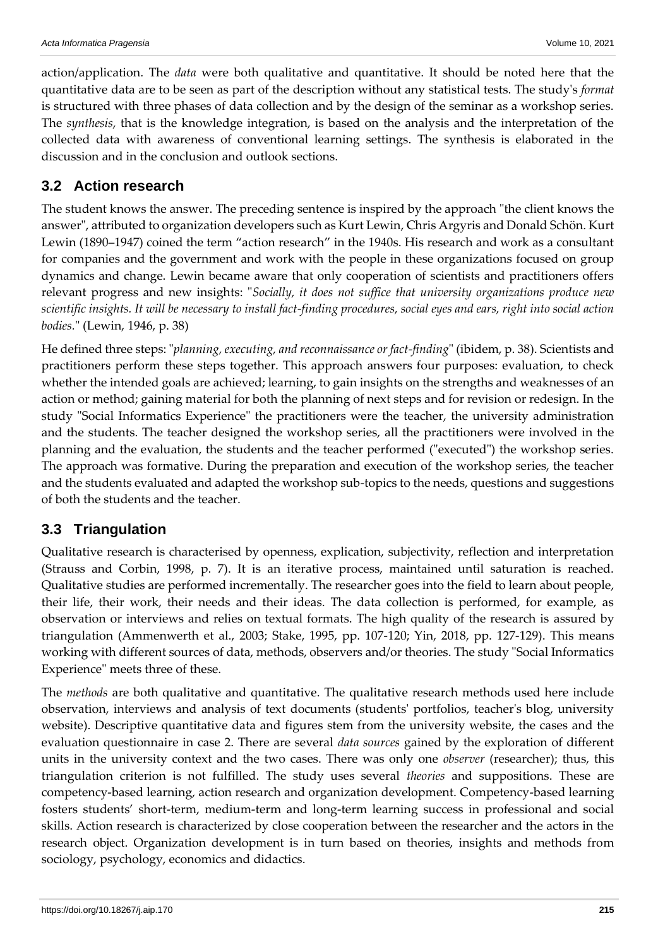action/application. The *data* were both qualitative and quantitative. It should be noted here that the quantitative data are to be seen as part of the description without any statistical tests. The study's *format* is structured with three phases of data collection and by the design of the seminar as a workshop series. The *synthesis*, that is the knowledge integration, is based on the analysis and the interpretation of the collected data with awareness of conventional learning settings. The synthesis is elaborated in the discussion and in the conclusion and outlook sections.

## **3.2 Action research**

The student knows the answer. The preceding sentence is inspired by the approach "the client knows the answer", attributed to organization developers such as Kurt Lewin, Chris Argyris and Donald Schön. Kurt Lewin (1890–1947) coined the term "action research" in the 1940s. His research and work as a consultant for companies and the government and work with the people in these organizations focused on group dynamics and change. Lewin became aware that only cooperation of scientists and practitioners offers relevant progress and new insights: "*Socially, it does not suffice that university organizations produce new scientific insights. It will be necessary to install fact-finding procedures, social eyes and ears, right into social action bodies.*" (Lewin, 1946, p. 38)

He defined three steps: "*planning, executing, and reconnaissance or fact-finding*" (ibidem, p. 38). Scientists and practitioners perform these steps together. This approach answers four purposes: evaluation, to check whether the intended goals are achieved; learning, to gain insights on the strengths and weaknesses of an action or method; gaining material for both the planning of next steps and for revision or redesign. In the study "Social Informatics Experience" the practitioners were the teacher, the university administration and the students. The teacher designed the workshop series, all the practitioners were involved in the planning and the evaluation, the students and the teacher performed ("executed") the workshop series. The approach was formative. During the preparation and execution of the workshop series, the teacher and the students evaluated and adapted the workshop sub-topics to the needs, questions and suggestions of both the students and the teacher.

## **3.3 Triangulation**

Qualitative research is characterised by openness, explication, subjectivity, reflection and interpretation (Strauss and Corbin, 1998, p. 7). It is an iterative process, maintained until saturation is reached. Qualitative studies are performed incrementally. The researcher goes into the field to learn about people, their life, their work, their needs and their ideas. The data collection is performed, for example, as observation or interviews and relies on textual formats. The high quality of the research is assured by triangulation (Ammenwerth et al., 2003; Stake, 1995, pp. 107-120; Yin, 2018, pp. 127-129). This means working with different sources of data, methods, observers and/or theories. The study "Social Informatics Experience" meets three of these.

The *methods* are both qualitative and quantitative. The qualitative research methods used here include observation, interviews and analysis of text documents (students' portfolios, teacher's blog, university website). Descriptive quantitative data and figures stem from the university website, the cases and the evaluation questionnaire in case 2. There are several *data sources* gained by the exploration of different units in the university context and the two cases. There was only one *observer* (researcher); thus, this triangulation criterion is not fulfilled. The study uses several *theories* and suppositions. These are competency-based learning, action research and organization development. Competency-based learning fosters students' short-term, medium-term and long-term learning success in professional and social skills. Action research is characterized by close cooperation between the researcher and the actors in the research object. Organization development is in turn based on theories, insights and methods from sociology, psychology, economics and didactics.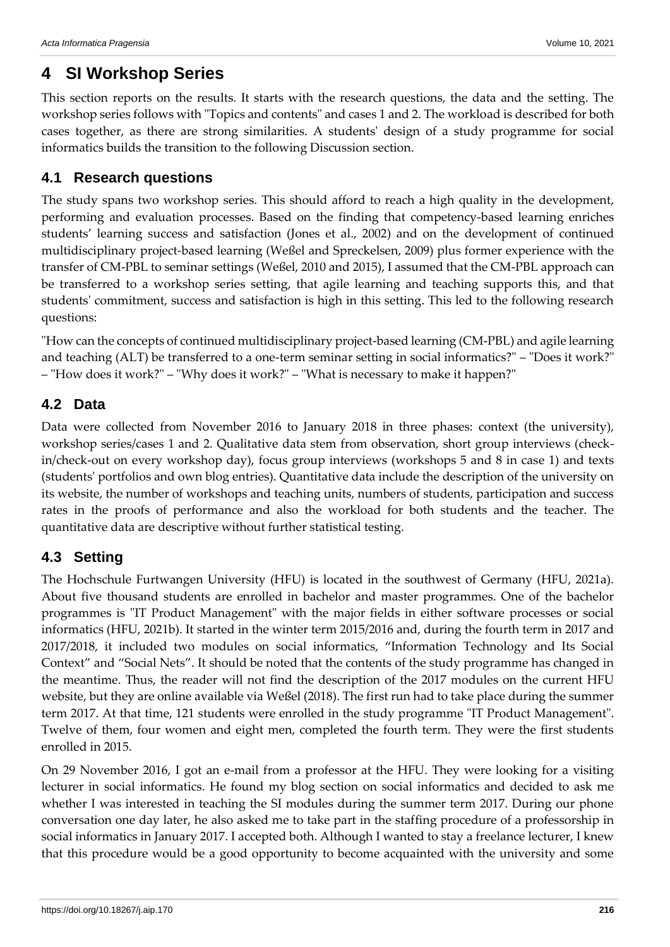## **4 SI Workshop Series**

This section reports on the results. It starts with the research questions, the data and the setting. The workshop series follows with "Topics and contents" and cases 1 and 2. The workload is described for both cases together, as there are strong similarities. A students' design of a study programme for social informatics builds the transition to the following Discussion section.

## **4.1 Research questions**

The study spans two workshop series. This should afford to reach a high quality in the development, performing and evaluation processes. Based on the finding that competency-based learning enriches students' learning success and satisfaction (Jones et al., 2002) and on the development of continued multidisciplinary project-based learning (Weßel and Spreckelsen, 2009) plus former experience with the transfer of CM-PBL to seminar settings (Weßel, 2010 and 2015), I assumed that the CM-PBL approach can be transferred to a workshop series setting, that agile learning and teaching supports this, and that students' commitment, success and satisfaction is high in this setting. This led to the following research questions:

"How can the concepts of continued multidisciplinary project-based learning (CM-PBL) and agile learning and teaching (ALT) be transferred to a one-term seminar setting in social informatics?" – "Does it work?" – "How does it work?" – "Why does it work?" – "What is necessary to make it happen?"

## **4.2 Data**

Data were collected from November 2016 to January 2018 in three phases: context (the university), workshop series/cases 1 and 2. Qualitative data stem from observation, short group interviews (checkin/check-out on every workshop day), focus group interviews (workshops 5 and 8 in case 1) and texts (students' portfolios and own blog entries). Quantitative data include the description of the university on its website, the number of workshops and teaching units, numbers of students, participation and success rates in the proofs of performance and also the workload for both students and the teacher. The quantitative data are descriptive without further statistical testing.

## **4.3 Setting**

The Hochschule Furtwangen University (HFU) is located in the southwest of Germany (HFU, 2021a). About five thousand students are enrolled in bachelor and master programmes. One of the bachelor programmes is "IT Product Management" with the major fields in either software processes or social informatics (HFU, 2021b). It started in the winter term 2015/2016 and, during the fourth term in 2017 and 2017/2018, it included two modules on social informatics, "Information Technology and Its Social Context" and "Social Nets". It should be noted that the contents of the study programme has changed in the meantime. Thus, the reader will not find the description of the 2017 modules on the current HFU website, but they are online available via Weßel (2018). The first run had to take place during the summer term 2017. At that time, 121 students were enrolled in the study programme "IT Product Management". Twelve of them, four women and eight men, completed the fourth term. They were the first students enrolled in 2015.

On 29 November 2016, I got an e-mail from a professor at the HFU. They were looking for a visiting lecturer in social informatics. He found my blog section on social informatics and decided to ask me whether I was interested in teaching the SI modules during the summer term 2017. During our phone conversation one day later, he also asked me to take part in the staffing procedure of a professorship in social informatics in January 2017. I accepted both. Although I wanted to stay a freelance lecturer, I knew that this procedure would be a good opportunity to become acquainted with the university and some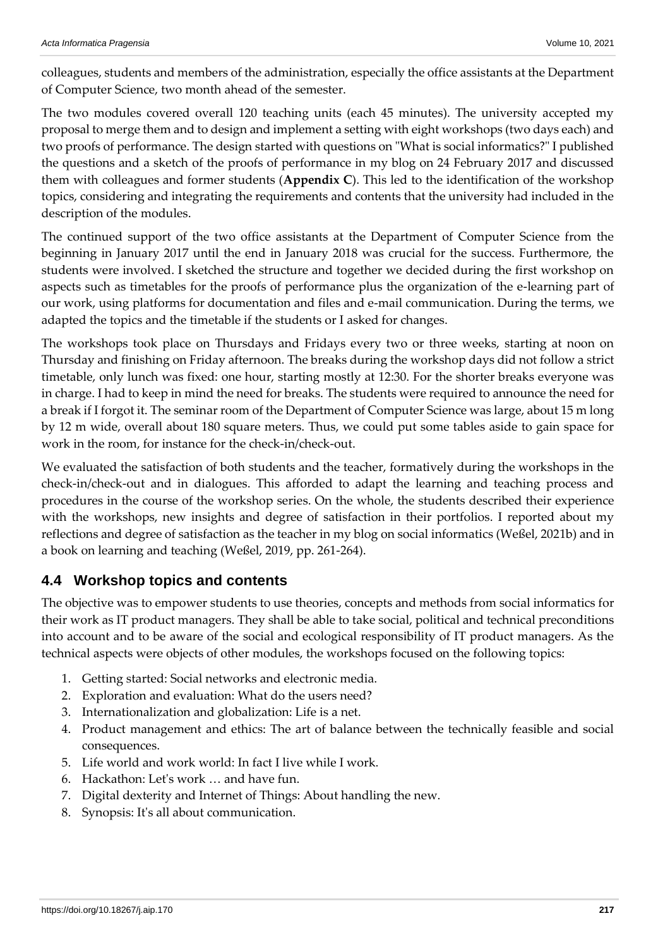colleagues, students and members of the administration, especially the office assistants at the Department of Computer Science, two month ahead of the semester.

The two modules covered overall 120 teaching units (each 45 minutes). The university accepted my proposal to merge them and to design and implement a setting with eight workshops (two days each) and two proofs of performance. The design started with questions on "What is social informatics?" I published the questions and a sketch of the proofs of performance in my blog on 24 February 2017 and discussed them with colleagues and former students (**Appendix C**). This led to the identification of the workshop topics, considering and integrating the requirements and contents that the university had included in the description of the modules.

The continued support of the two office assistants at the Department of Computer Science from the beginning in January 2017 until the end in January 2018 was crucial for the success. Furthermore, the students were involved. I sketched the structure and together we decided during the first workshop on aspects such as timetables for the proofs of performance plus the organization of the e-learning part of our work, using platforms for documentation and files and e-mail communication. During the terms, we adapted the topics and the timetable if the students or I asked for changes.

The workshops took place on Thursdays and Fridays every two or three weeks, starting at noon on Thursday and finishing on Friday afternoon. The breaks during the workshop days did not follow a strict timetable, only lunch was fixed: one hour, starting mostly at 12:30. For the shorter breaks everyone was in charge. I had to keep in mind the need for breaks. The students were required to announce the need for a break if I forgot it. The seminar room of the Department of Computer Science was large, about 15 m long by 12 m wide, overall about 180 square meters. Thus, we could put some tables aside to gain space for work in the room, for instance for the check-in/check-out.

We evaluated the satisfaction of both students and the teacher, formatively during the workshops in the check-in/check-out and in dialogues. This afforded to adapt the learning and teaching process and procedures in the course of the workshop series. On the whole, the students described their experience with the workshops, new insights and degree of satisfaction in their portfolios. I reported about my reflections and degree of satisfaction as the teacher in my blog on social informatics (Weßel, 2021b) and in a book on learning and teaching (Weßel, 2019, pp. 261-264).

## **4.4 Workshop topics and contents**

The objective was to empower students to use theories, concepts and methods from social informatics for their work as IT product managers. They shall be able to take social, political and technical preconditions into account and to be aware of the social and ecological responsibility of IT product managers. As the technical aspects were objects of other modules, the workshops focused on the following topics:

- 1. Getting started: Social networks and electronic media.
- 2. Exploration and evaluation: What do the users need?
- 3. Internationalization and globalization: Life is a net.
- 4. Product management and ethics: The art of balance between the technically feasible and social consequences.
- 5. Life world and work world: In fact I live while I work.
- 6. Hackathon: Let's work … and have fun.
- 7. Digital dexterity and Internet of Things: About handling the new.
- 8. Synopsis: It's all about communication.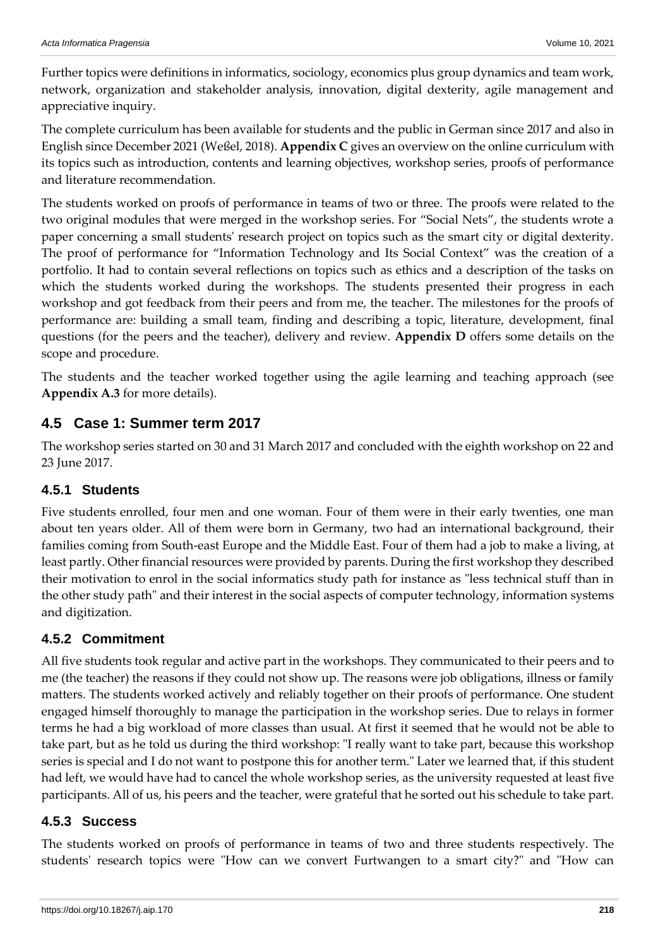Further topics were definitions in informatics, sociology, economics plus group dynamics and team work, network, organization and stakeholder analysis, innovation, digital dexterity, agile management and appreciative inquiry.

The complete curriculum has been available for students and the public in German since 2017 and also in English since December 2021 (Weßel, 2018). **Appendix C** gives an overview on the online curriculum with its topics such as introduction, contents and learning objectives, workshop series, proofs of performance and literature recommendation.

The students worked on proofs of performance in teams of two or three. The proofs were related to the two original modules that were merged in the workshop series. For "Social Nets", the students wrote a paper concerning a small students' research project on topics such as the smart city or digital dexterity. The proof of performance for "Information Technology and Its Social Context" was the creation of a portfolio. It had to contain several reflections on topics such as ethics and a description of the tasks on which the students worked during the workshops. The students presented their progress in each workshop and got feedback from their peers and from me, the teacher. The milestones for the proofs of performance are: building a small team, finding and describing a topic, literature, development, final questions (for the peers and the teacher), delivery and review. **Appendix D** offers some details on the scope and procedure.

The students and the teacher worked together using the agile learning and teaching approach (see **Appendix A.3** for more details).

### **4.5 Case 1: Summer term 2017**

The workshop series started on 30 and 31 March 2017 and concluded with the eighth workshop on 22 and 23 June 2017.

### **4.5.1 Students**

Five students enrolled, four men and one woman. Four of them were in their early twenties, one man about ten years older. All of them were born in Germany, two had an international background, their families coming from South-east Europe and the Middle East. Four of them had a job to make a living, at least partly. Other financial resources were provided by parents. During the first workshop they described their motivation to enrol in the social informatics study path for instance as "less technical stuff than in the other study path" and their interest in the social aspects of computer technology, information systems and digitization.

## **4.5.2 Commitment**

All five students took regular and active part in the workshops. They communicated to their peers and to me (the teacher) the reasons if they could not show up. The reasons were job obligations, illness or family matters. The students worked actively and reliably together on their proofs of performance. One student engaged himself thoroughly to manage the participation in the workshop series. Due to relays in former terms he had a big workload of more classes than usual. At first it seemed that he would not be able to take part, but as he told us during the third workshop: "I really want to take part, because this workshop series is special and I do not want to postpone this for another term." Later we learned that, if this student had left, we would have had to cancel the whole workshop series, as the university requested at least five participants. All of us, his peers and the teacher, were grateful that he sorted out his schedule to take part.

### **4.5.3 Success**

The students worked on proofs of performance in teams of two and three students respectively. The students' research topics were "How can we convert Furtwangen to a smart city?" and "How can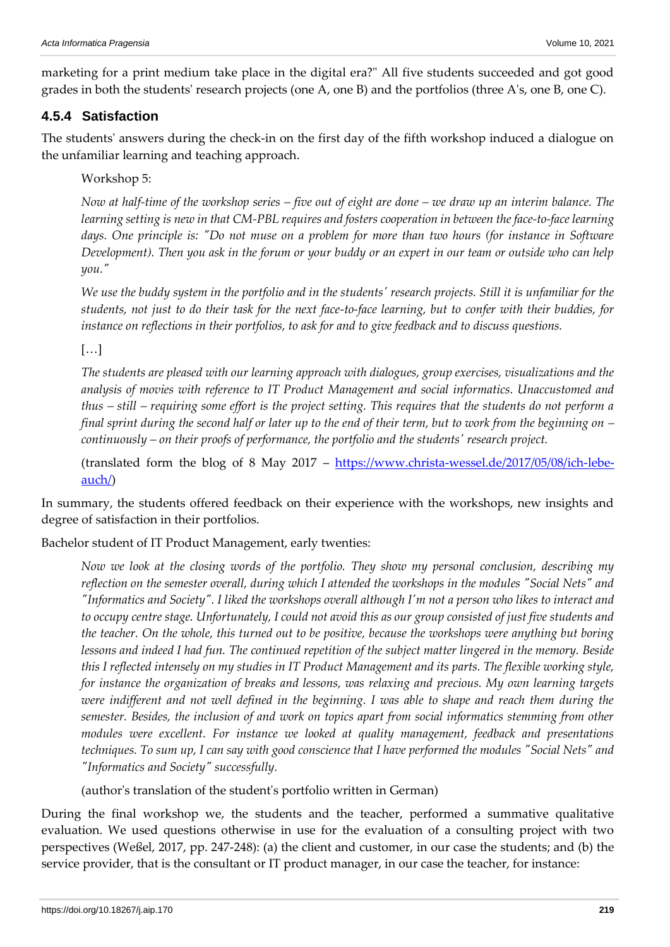marketing for a print medium take place in the digital era?" All five students succeeded and got good grades in both the students' research projects (one A, one B) and the portfolios (three A's, one B, one C).

### **4.5.4 Satisfaction**

The students' answers during the check-in on the first day of the fifth workshop induced a dialogue on the unfamiliar learning and teaching approach.

Workshop 5:

*Now at half-time of the workshop series – five out of eight are done – we draw up an interim balance. The learning setting is new in that CM-PBL requires and fosters cooperation in between the face-to-face learning*  days. One principle is: "Do not muse on a problem for more than two hours (for instance in Software *Development). Then you ask in the forum or your buddy or an expert in our team or outside who can help you."*

*We use the buddy system in the portfolio and in the students' research projects. Still it is unfamiliar for the students, not just to do their task for the next face-to-face learning, but to confer with their buddies, for instance on reflections in their portfolios, to ask for and to give feedback and to discuss questions.* 

[…]

*The students are pleased with our learning approach with dialogues, group exercises, visualizations and the analysis of movies with reference to IT Product Management and social informatics. Unaccustomed and thus – still – requiring some effort is the project setting. This requires that the students do not perform a final sprint during the second half or later up to the end of their term, but to work from the beginning on – continuously – on their proofs of performance, the portfolio and the students' research project.* 

(translated form the blog of 8 May 2017 – [https://www.christa-wessel.de/2017/05/08/ich-lebe](https://www.christa-wessel.de/2017/05/08/ich-lebe-auch/)[auch/\)](https://www.christa-wessel.de/2017/05/08/ich-lebe-auch/)

In summary, the students offered feedback on their experience with the workshops, new insights and degree of satisfaction in their portfolios.

Bachelor student of IT Product Management, early twenties:

*Now we look at the closing words of the portfolio. They show my personal conclusion, describing my reflection on the semester overall, during which I attended the workshops in the modules "Social Nets" and "Informatics and Society". I liked the workshops overall although I'm not a person who likes to interact and to occupy centre stage. Unfortunately, I could not avoid this as our group consisted of just five students and the teacher. On the whole, this turned out to be positive, because the workshops were anything but boring lessons and indeed I had fun. The continued repetition of the subject matter lingered in the memory. Beside this I reflected intensely on my studies in IT Product Management and its parts. The flexible working style, for instance the organization of breaks and lessons, was relaxing and precious. My own learning targets were indifferent and not well defined in the beginning. I was able to shape and reach them during the semester. Besides, the inclusion of and work on topics apart from social informatics stemming from other modules were excellent. For instance we looked at quality management, feedback and presentations techniques. To sum up, I can say with good conscience that I have performed the modules "Social Nets" and "Informatics and Society" successfully.* 

(author's translation of the student's portfolio written in German)

During the final workshop we, the students and the teacher, performed a summative qualitative evaluation. We used questions otherwise in use for the evaluation of a consulting project with two perspectives (Weßel, 2017, pp. 247-248): (a) the client and customer, in our case the students; and (b) the service provider, that is the consultant or IT product manager, in our case the teacher, for instance: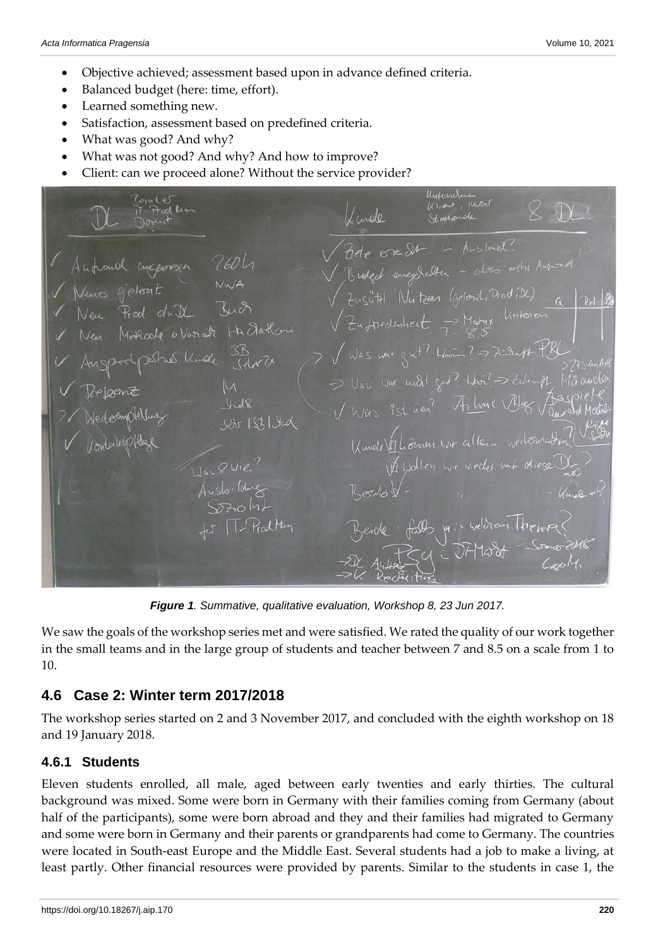- Objective achieved; assessment based upon in advance defined criteria.
- Balanced budget (here: time, effort).
- Learned something new.
- Satisfaction, assessment based on predefined criteria.
- What was good? And why?
- What was not good? And why? And how to improve?
- Client: can we proceed alone? Without the service provider?

Unfornhere Torates Unformance<br>Klient, Klubel<br>Studionale Fred Kan Imole  $\overline{7}$ de ere St Broked enezedabler - also with Aut Venes gjeloont<br>Venes gjeloont MWA<br>Ven Rood du N Ruch Zusätzt Nutzen (gelont, Drod, DC)  $\rightarrow$  Matrix Linksie<br>  $\rightarrow$  Matrix Linksie  $\sqrt{2}$ u fredunheit V Was war gut? Woon? => Finder PR Stues Unde  $\supseteq \bigcup_{\alpha s} \bigcup_{\omega \in \Gamma} \text{ and } \bigcap_{\alpha \in \Gamma} \bigcup_{\alpha \in \Gamma} \bigcap_{\alpha \in \Gamma} \text{ and } \bigcap_{\alpha \in \Gamma} \bigcap_{\alpha \in \Gamma} \text{ and } \bigcap_{\alpha \in \Gamma} \text{ and } \bigcap_{\alpha \in \Gamma} \text{ and } \bigcap_{\alpha \in \Gamma} \text{ and } \bigcap_{\alpha \in \Gamma} \text{ and } \bigcap_{\alpha \in \Gamma} \text{ and } \bigcap_{\alpha \in \Gamma} \text{ and } \bigcap_{\alpha \in \Gamma} \text{ and } \bigcap_{\alpha \in \Gamma} \text{ and$ V Was 9st near Filme Blog  $LJQ$  $Ser1SRJud$ Kunder Thomas wir allein weitermal Liollen wir wecks unt diese  $Q$   $Li$ A. Welcham Theme

*Figure 1. Summative, qualitative evaluation, Workshop 8, 23 Jun 2017.*

We saw the goals of the workshop series met and were satisfied. We rated the quality of our work together in the small teams and in the large group of students and teacher between 7 and 8.5 on a scale from 1 to 10.

### **4.6 Case 2: Winter term 2017/2018**

The workshop series started on 2 and 3 November 2017, and concluded with the eighth workshop on 18 and 19 January 2018.

### **4.6.1 Students**

Eleven students enrolled, all male, aged between early twenties and early thirties. The cultural background was mixed. Some were born in Germany with their families coming from Germany (about half of the participants), some were born abroad and they and their families had migrated to Germany and some were born in Germany and their parents or grandparents had come to Germany. The countries were located in South-east Europe and the Middle East. Several students had a job to make a living, at least partly. Other financial resources were provided by parents. Similar to the students in case 1, the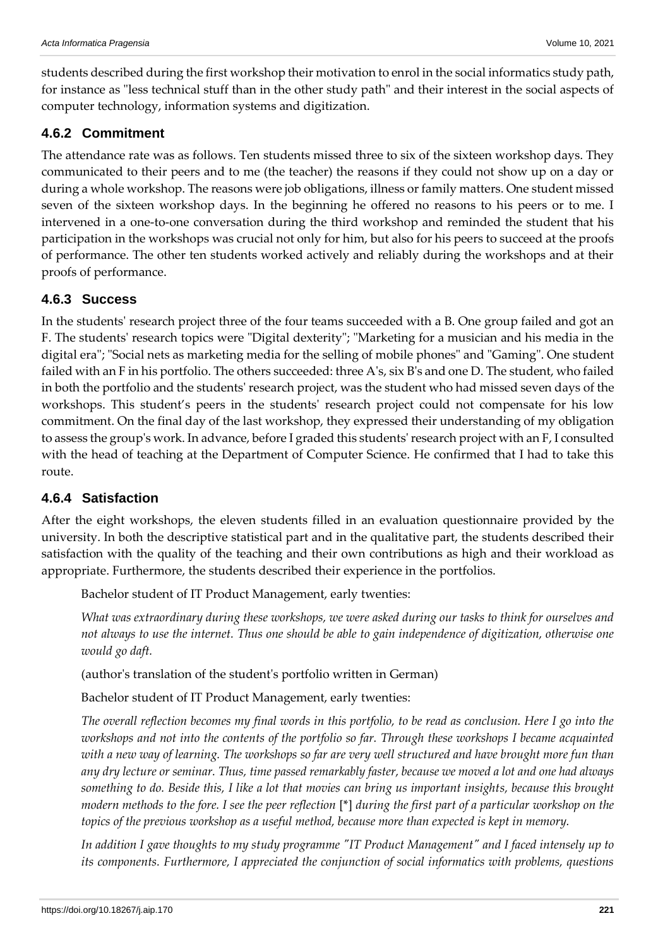students described during the first workshop their motivation to enrol in the social informatics study path, for instance as "less technical stuff than in the other study path" and their interest in the social aspects of computer technology, information systems and digitization.

### **4.6.2 Commitment**

The attendance rate was as follows. Ten students missed three to six of the sixteen workshop days. They communicated to their peers and to me (the teacher) the reasons if they could not show up on a day or during a whole workshop. The reasons were job obligations, illness or family matters. One student missed seven of the sixteen workshop days. In the beginning he offered no reasons to his peers or to me. I intervened in a one-to-one conversation during the third workshop and reminded the student that his participation in the workshops was crucial not only for him, but also for his peers to succeed at the proofs of performance. The other ten students worked actively and reliably during the workshops and at their proofs of performance.

### **4.6.3 Success**

In the students' research project three of the four teams succeeded with a B. One group failed and got an F. The students' research topics were "Digital dexterity"; "Marketing for a musician and his media in the digital era"; "Social nets as marketing media for the selling of mobile phones" and "Gaming". One student failed with an F in his portfolio. The others succeeded: three A's, six B's and one D. The student, who failed in both the portfolio and the students' research project, was the student who had missed seven days of the workshops. This student's peers in the students' research project could not compensate for his low commitment. On the final day of the last workshop, they expressed their understanding of my obligation to assess the group's work. In advance, before I graded this students' research project with an F, I consulted with the head of teaching at the Department of Computer Science. He confirmed that I had to take this route.

### **4.6.4 Satisfaction**

After the eight workshops, the eleven students filled in an evaluation questionnaire provided by the university. In both the descriptive statistical part and in the qualitative part, the students described their satisfaction with the quality of the teaching and their own contributions as high and their workload as appropriate. Furthermore, the students described their experience in the portfolios.

Bachelor student of IT Product Management, early twenties:

*What was extraordinary during these workshops, we were asked during our tasks to think for ourselves and not always to use the internet. Thus one should be able to gain independence of digitization, otherwise one would go daft.*

(author's translation of the student's portfolio written in German)

Bachelor student of IT Product Management, early twenties:

*The overall reflection becomes my final words in this portfolio, to be read as conclusion. Here I go into the workshops and not into the contents of the portfolio so far. Through these workshops I became acquainted with a new way of learning. The workshops so far are very well structured and have brought more fun than any dry lecture or seminar. Thus, time passed remarkably faster, because we moved a lot and one had always something to do. Beside this, I like a lot that movies can bring us important insights, because this brought modern methods to the fore. I see the peer reflection* [\*] *during the first part of a particular workshop on the topics of the previous workshop as a useful method, because more than expected is kept in memory.*

*In addition I gave thoughts to my study programme "IT Product Management" and I faced intensely up to its components. Furthermore, I appreciated the conjunction of social informatics with problems, questions*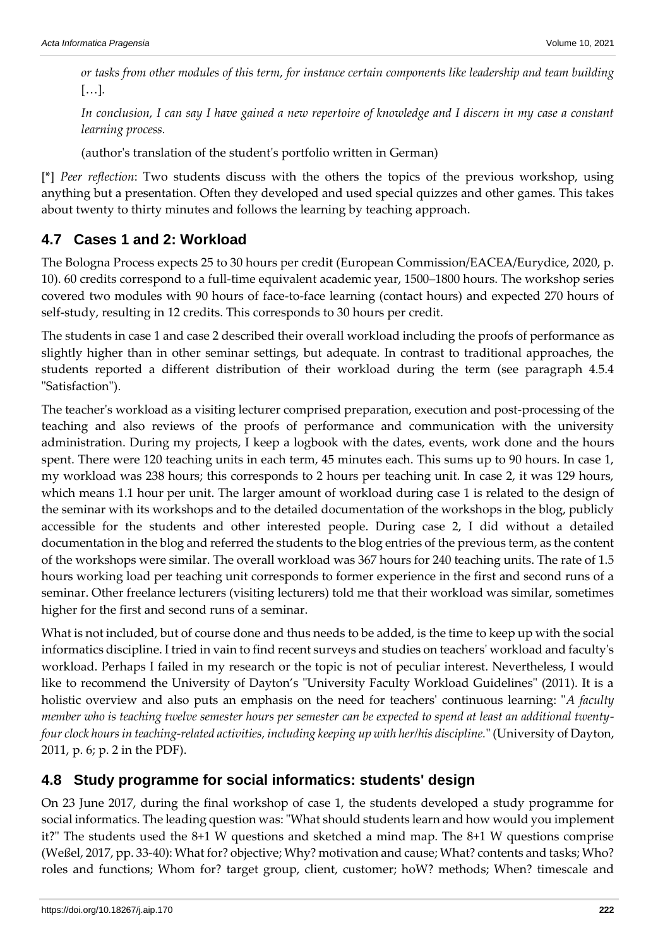*or tasks from other modules of this term, for instance certain components like leadership and team building*  […]*.* 

*In conclusion, I can say I have gained a new repertoire of knowledge and I discern in my case a constant learning process.*

(author's translation of the student's portfolio written in German)

[\*] *Peer reflection*: Two students discuss with the others the topics of the previous workshop, using anything but a presentation. Often they developed and used special quizzes and other games. This takes about twenty to thirty minutes and follows the learning by teaching approach.

## **4.7 Cases 1 and 2: Workload**

The Bologna Process expects 25 to 30 hours per credit (European Commission/EACEA/Eurydice, 2020, p. 10). 60 credits correspond to a full-time equivalent academic year, 1500–1800 hours. The workshop series covered two modules with 90 hours of face-to-face learning (contact hours) and expected 270 hours of self-study, resulting in 12 credits. This corresponds to 30 hours per credit.

The students in case 1 and case 2 described their overall workload including the proofs of performance as slightly higher than in other seminar settings, but adequate. In contrast to traditional approaches, the students reported a different distribution of their workload during the term (see paragraph 4.5.4 "Satisfaction").

The teacher's workload as a visiting lecturer comprised preparation, execution and post-processing of the teaching and also reviews of the proofs of performance and communication with the university administration. During my projects, I keep a logbook with the dates, events, work done and the hours spent. There were 120 teaching units in each term, 45 minutes each. This sums up to 90 hours. In case 1, my workload was 238 hours; this corresponds to 2 hours per teaching unit. In case 2, it was 129 hours, which means 1.1 hour per unit. The larger amount of workload during case 1 is related to the design of the seminar with its workshops and to the detailed documentation of the workshops in the blog, publicly accessible for the students and other interested people. During case 2, I did without a detailed documentation in the blog and referred the students to the blog entries of the previous term, as the content of the workshops were similar. The overall workload was 367 hours for 240 teaching units. The rate of 1.5 hours working load per teaching unit corresponds to former experience in the first and second runs of a seminar. Other freelance lecturers (visiting lecturers) told me that their workload was similar, sometimes higher for the first and second runs of a seminar.

What is not included, but of course done and thus needs to be added, is the time to keep up with the social informatics discipline. I tried in vain to find recent surveys and studies on teachers' workload and faculty's workload. Perhaps I failed in my research or the topic is not of peculiar interest. Nevertheless, I would like to recommend the University of Dayton's "University Faculty Workload Guidelines" (2011). It is a holistic overview and also puts an emphasis on the need for teachers' continuous learning: "*A faculty member who is teaching twelve semester hours per semester can be expected to spend at least an additional twentyfour clock hours in teaching-related activities, including keeping up with her/his discipline.*" (University of Dayton, 2011, p. 6; p. 2 in the PDF).

## **4.8 Study programme for social informatics: students' design**

On 23 June 2017, during the final workshop of case 1, the students developed a study programme for social informatics. The leading question was: "What should students learn and how would you implement it?" The students used the 8+1 W questions and sketched a mind map. The 8+1 W questions comprise (Weßel, 2017, pp. 33-40): What for? objective; Why? motivation and cause; What? contents and tasks; Who? roles and functions; Whom for? target group, client, customer; hoW? methods; When? timescale and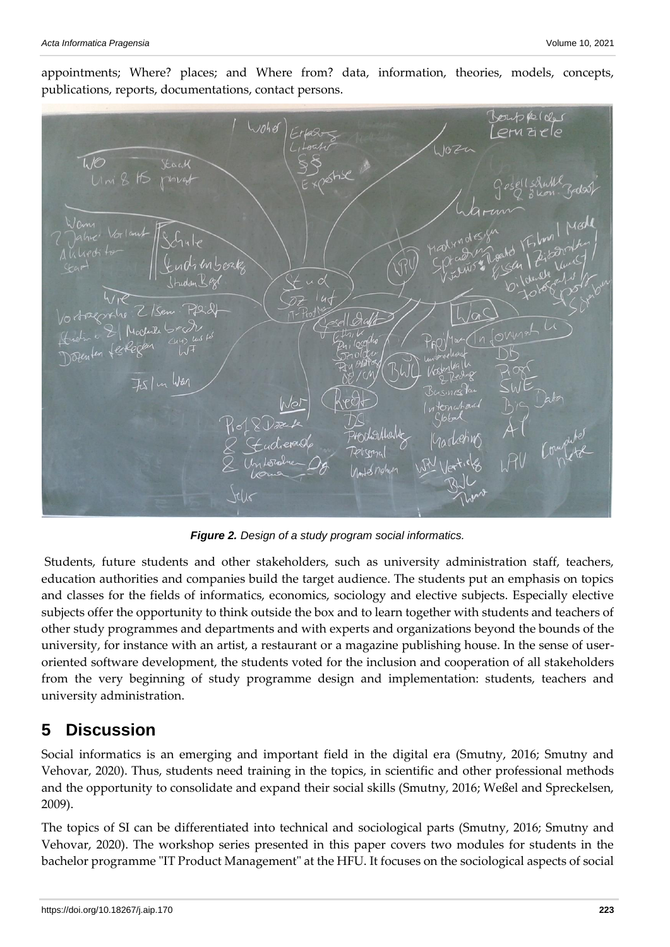

appointments; Where? places; and Where from? data, information, theories, models, concepts, publications, reports, documentations, contact persons.

*Figure 2. Design of a study program social informatics.*

Students, future students and other stakeholders, such as university administration staff, teachers, education authorities and companies build the target audience. The students put an emphasis on topics and classes for the fields of informatics, economics, sociology and elective subjects. Especially elective subjects offer the opportunity to think outside the box and to learn together with students and teachers of other study programmes and departments and with experts and organizations beyond the bounds of the university, for instance with an artist, a restaurant or a magazine publishing house. In the sense of useroriented software development, the students voted for the inclusion and cooperation of all stakeholders from the very beginning of study programme design and implementation: students, teachers and university administration.

## **5 Discussion**

Social informatics is an emerging and important field in the digital era (Smutny, 2016; Smutny and Vehovar, 2020). Thus, students need training in the topics, in scientific and other professional methods and the opportunity to consolidate and expand their social skills (Smutny, 2016; Weßel and Spreckelsen, 2009).

The topics of SI can be differentiated into technical and sociological parts (Smutny, 2016; Smutny and Vehovar, 2020). The workshop series presented in this paper covers two modules for students in the bachelor programme "IT Product Management" at the HFU. It focuses on the sociological aspects of social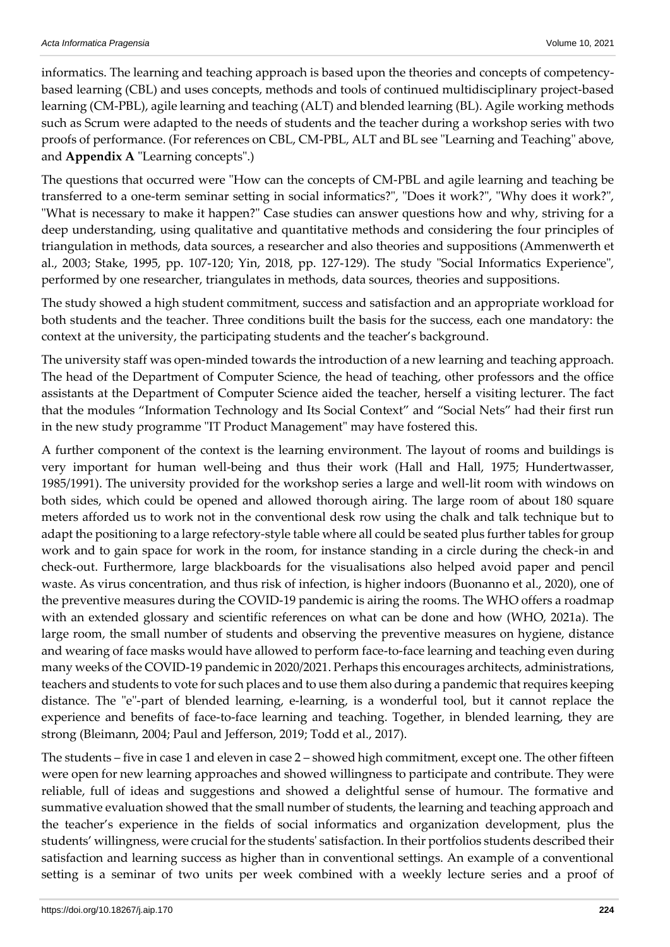informatics. The learning and teaching approach is based upon the theories and concepts of competencybased learning (CBL) and uses concepts, methods and tools of continued multidisciplinary project-based learning (CM-PBL), agile learning and teaching (ALT) and blended learning (BL). Agile working methods such as Scrum were adapted to the needs of students and the teacher during a workshop series with two proofs of performance. (For references on CBL, CM-PBL, ALT and BL see "Learning and Teaching" above, and **Appendix A** "Learning concepts".)

The questions that occurred were "How can the concepts of CM-PBL and agile learning and teaching be transferred to a one-term seminar setting in social informatics?", "Does it work?", "Why does it work?", "What is necessary to make it happen?" Case studies can answer questions how and why, striving for a deep understanding, using qualitative and quantitative methods and considering the four principles of triangulation in methods, data sources, a researcher and also theories and suppositions (Ammenwerth et al., 2003; Stake, 1995, pp. 107-120; Yin, 2018, pp. 127-129). The study "Social Informatics Experience", performed by one researcher, triangulates in methods, data sources, theories and suppositions.

The study showed a high student commitment, success and satisfaction and an appropriate workload for both students and the teacher. Three conditions built the basis for the success, each one mandatory: the context at the university, the participating students and the teacher's background.

The university staff was open-minded towards the introduction of a new learning and teaching approach. The head of the Department of Computer Science, the head of teaching, other professors and the office assistants at the Department of Computer Science aided the teacher, herself a visiting lecturer. The fact that the modules "Information Technology and Its Social Context" and "Social Nets" had their first run in the new study programme "IT Product Management" may have fostered this.

A further component of the context is the learning environment. The layout of rooms and buildings is very important for human well-being and thus their work (Hall and Hall, 1975; Hundertwasser, 1985/1991). The university provided for the workshop series a large and well-lit room with windows on both sides, which could be opened and allowed thorough airing. The large room of about 180 square meters afforded us to work not in the conventional desk row using the chalk and talk technique but to adapt the positioning to a large refectory-style table where all could be seated plus further tables for group work and to gain space for work in the room, for instance standing in a circle during the check-in and check-out. Furthermore, large blackboards for the visualisations also helped avoid paper and pencil waste. As virus concentration, and thus risk of infection, is higher indoors (Buonanno et al., 2020), one of the preventive measures during the COVID-19 pandemic is airing the rooms. The WHO offers a roadmap with an extended glossary and scientific references on what can be done and how (WHO, 2021a). The large room, the small number of students and observing the preventive measures on hygiene, distance and wearing of face masks would have allowed to perform face-to-face learning and teaching even during many weeks of the COVID-19 pandemic in 2020/2021. Perhaps this encourages architects, administrations, teachers and students to vote for such places and to use them also during a pandemic that requires keeping distance. The "e"-part of blended learning, e-learning, is a wonderful tool, but it cannot replace the experience and benefits of face-to-face learning and teaching. Together, in blended learning, they are strong (Bleimann, 2004; Paul and Jefferson, 2019; Todd et al., 2017).

The students – five in case 1 and eleven in case 2 – showed high commitment, except one. The other fifteen were open for new learning approaches and showed willingness to participate and contribute. They were reliable, full of ideas and suggestions and showed a delightful sense of humour. The formative and summative evaluation showed that the small number of students, the learning and teaching approach and the teacher's experience in the fields of social informatics and organization development, plus the students' willingness, were crucial for the students' satisfaction. In their portfolios students described their satisfaction and learning success as higher than in conventional settings. An example of a conventional setting is a seminar of two units per week combined with a weekly lecture series and a proof of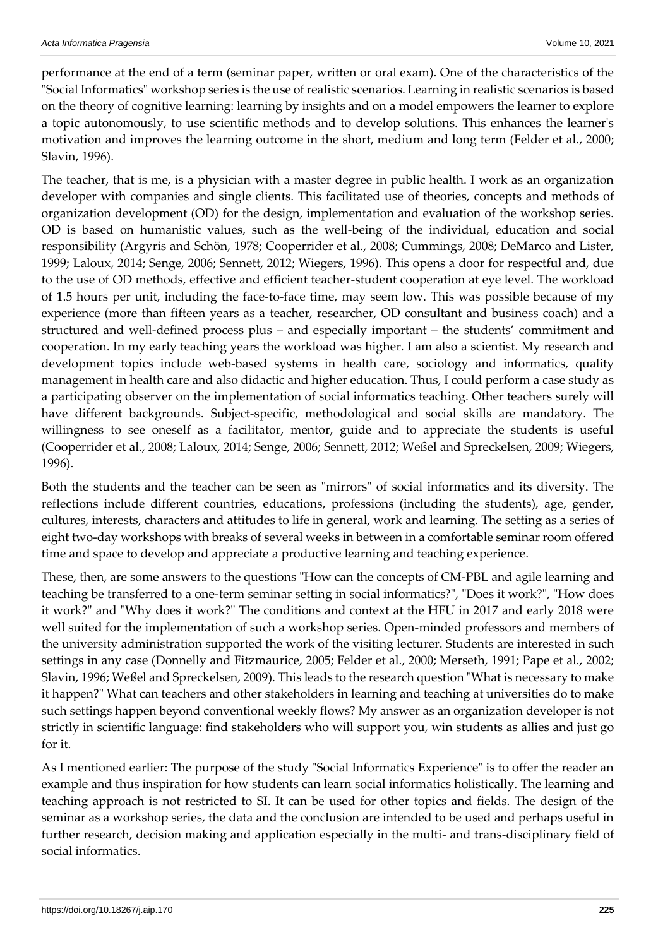performance at the end of a term (seminar paper, written or oral exam). One of the characteristics of the "Social Informatics" workshop series is the use of realistic scenarios. Learning in realistic scenarios is based on the theory of cognitive learning: learning by insights and on a model empowers the learner to explore a topic autonomously, to use scientific methods and to develop solutions. This enhances the learner's motivation and improves the learning outcome in the short, medium and long term (Felder et al., 2000; Slavin, 1996).

The teacher, that is me, is a physician with a master degree in public health. I work as an organization developer with companies and single clients. This facilitated use of theories, concepts and methods of organization development (OD) for the design, implementation and evaluation of the workshop series. OD is based on humanistic values, such as the well-being of the individual, education and social responsibility (Argyris and Schön, 1978; Cooperrider et al., 2008; Cummings, 2008; DeMarco and Lister, 1999; Laloux, 2014; Senge, 2006; Sennett, 2012; Wiegers, 1996). This opens a door for respectful and, due to the use of OD methods, effective and efficient teacher-student cooperation at eye level. The workload of 1.5 hours per unit, including the face-to-face time, may seem low. This was possible because of my experience (more than fifteen years as a teacher, researcher, OD consultant and business coach) and a structured and well-defined process plus – and especially important – the students' commitment and cooperation. In my early teaching years the workload was higher. I am also a scientist. My research and development topics include web-based systems in health care, sociology and informatics, quality management in health care and also didactic and higher education. Thus, I could perform a case study as a participating observer on the implementation of social informatics teaching. Other teachers surely will have different backgrounds. Subject-specific, methodological and social skills are mandatory. The willingness to see oneself as a facilitator, mentor, guide and to appreciate the students is useful (Cooperrider et al., 2008; Laloux, 2014; Senge, 2006; Sennett, 2012; Weßel and Spreckelsen, 2009; Wiegers, 1996).

Both the students and the teacher can be seen as "mirrors" of social informatics and its diversity. The reflections include different countries, educations, professions (including the students), age, gender, cultures, interests, characters and attitudes to life in general, work and learning. The setting as a series of eight two-day workshops with breaks of several weeks in between in a comfortable seminar room offered time and space to develop and appreciate a productive learning and teaching experience.

These, then, are some answers to the questions "How can the concepts of CM-PBL and agile learning and teaching be transferred to a one-term seminar setting in social informatics?", "Does it work?", "How does it work?" and "Why does it work?" The conditions and context at the HFU in 2017 and early 2018 were well suited for the implementation of such a workshop series. Open-minded professors and members of the university administration supported the work of the visiting lecturer. Students are interested in such settings in any case (Donnelly and Fitzmaurice, 2005; Felder et al., 2000; Merseth, 1991; Pape et al., 2002; Slavin, 1996; Weßel and Spreckelsen, 2009). This leads to the research question "What is necessary to make it happen?" What can teachers and other stakeholders in learning and teaching at universities do to make such settings happen beyond conventional weekly flows? My answer as an organization developer is not strictly in scientific language: find stakeholders who will support you, win students as allies and just go for it.

As I mentioned earlier: The purpose of the study "Social Informatics Experience" is to offer the reader an example and thus inspiration for how students can learn social informatics holistically. The learning and teaching approach is not restricted to SI. It can be used for other topics and fields. The design of the seminar as a workshop series, the data and the conclusion are intended to be used and perhaps useful in further research, decision making and application especially in the multi- and trans-disciplinary field of social informatics.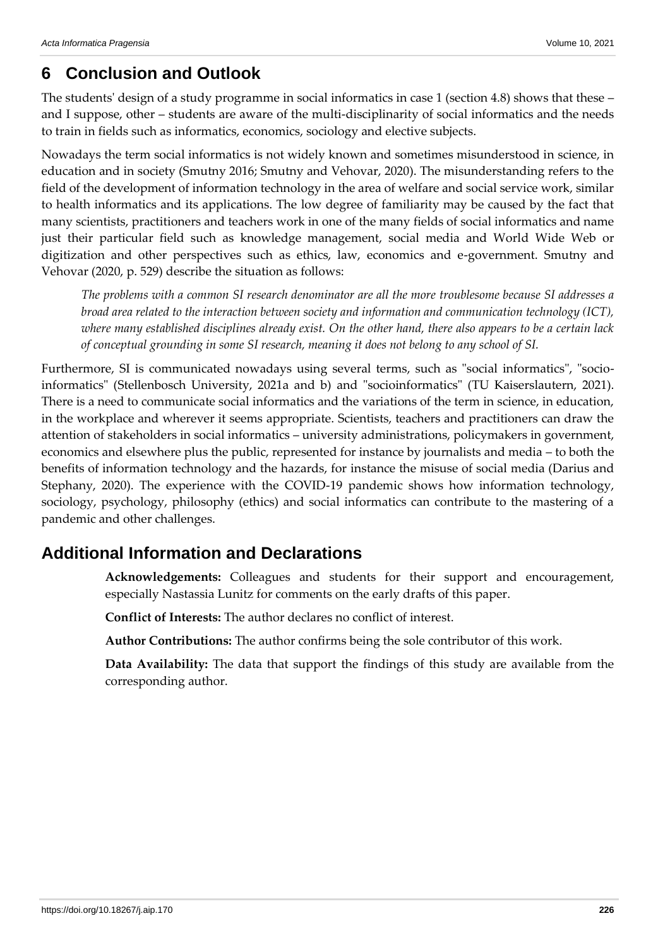## **6 Conclusion and Outlook**

The students' design of a study programme in social informatics in case 1 (section 4.8) shows that these – and I suppose, other – students are aware of the multi-disciplinarity of social informatics and the needs to train in fields such as informatics, economics, sociology and elective subjects.

Nowadays the term social informatics is not widely known and sometimes misunderstood in science, in education and in society (Smutny 2016; Smutny and Vehovar, 2020). The misunderstanding refers to the field of the development of information technology in the area of welfare and social service work, similar to health informatics and its applications. The low degree of familiarity may be caused by the fact that many scientists, practitioners and teachers work in one of the many fields of social informatics and name just their particular field such as knowledge management, social media and World Wide Web or digitization and other perspectives such as ethics, law, economics and e-government. Smutny and Vehovar (2020, p. 529) describe the situation as follows:

*The problems with a common SI research denominator are all the more troublesome because SI addresses a broad area related to the interaction between society and information and communication technology (ICT), where many established disciplines already exist. On the other hand, there also appears to be a certain lack of conceptual grounding in some SI research, meaning it does not belong to any school of SI.* 

Furthermore, SI is communicated nowadays using several terms, such as "social informatics", "socioinformatics" (Stellenbosch University, 2021a and b) and "socioinformatics" (TU Kaiserslautern, 2021). There is a need to communicate social informatics and the variations of the term in science, in education, in the workplace and wherever it seems appropriate. Scientists, teachers and practitioners can draw the attention of stakeholders in social informatics – university administrations, policymakers in government, economics and elsewhere plus the public, represented for instance by journalists and media – to both the benefits of information technology and the hazards, for instance the misuse of social media (Darius and Stephany, 2020). The experience with the COVID-19 pandemic shows how information technology, sociology, psychology, philosophy (ethics) and social informatics can contribute to the mastering of a pandemic and other challenges.

## **Additional Information and Declarations**

**Acknowledgements:** Colleagues and students for their support and encouragement, especially Nastassia Lunitz for comments on the early drafts of this paper.

**Conflict of Interests:** The author declares no conflict of interest.

**Author Contributions:** The author confirms being the sole contributor of this work.

**Data Availability:** The data that support the findings of this study are available from the corresponding author.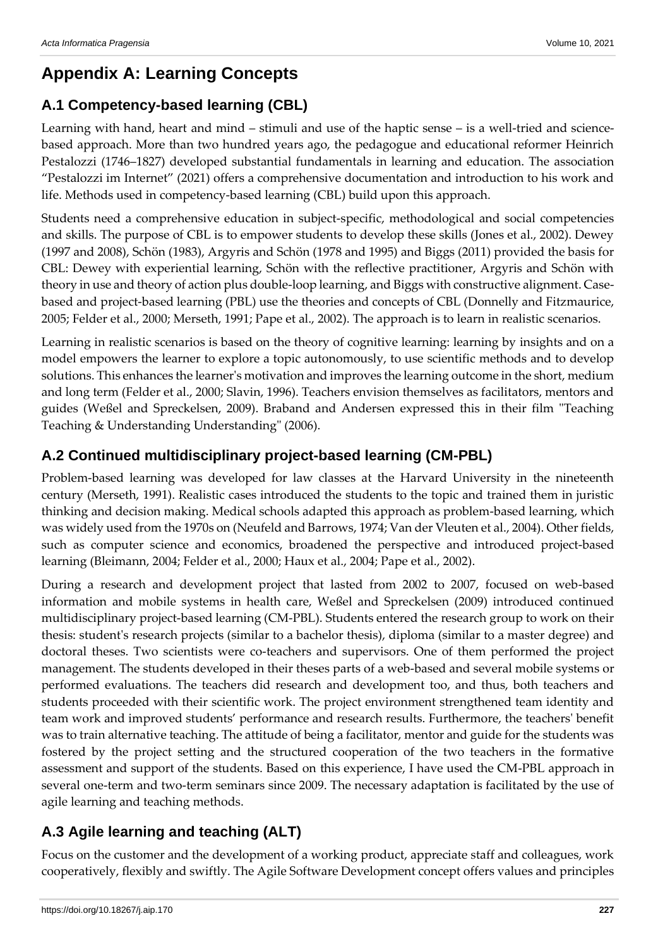# **Appendix A: Learning Concepts**

# **A.1 Competency-based learning (CBL)**

Learning with hand, heart and mind – stimuli and use of the haptic sense – is a well-tried and sciencebased approach. More than two hundred years ago, the pedagogue and educational reformer Heinrich Pestalozzi (1746–1827) developed substantial fundamentals in learning and education. The association "Pestalozzi im Internet" (2021) offers a comprehensive documentation and introduction to his work and life. Methods used in competency-based learning (CBL) build upon this approach.

Students need a comprehensive education in subject-specific, methodological and social competencies and skills. The purpose of CBL is to empower students to develop these skills (Jones et al., 2002). Dewey (1997 and 2008), Schön (1983), Argyris and Schön (1978 and 1995) and Biggs (2011) provided the basis for CBL: Dewey with experiential learning, Schön with the reflective practitioner, Argyris and Schön with theory in use and theory of action plus double-loop learning, and Biggs with constructive alignment. Casebased and project-based learning (PBL) use the theories and concepts of CBL (Donnelly and Fitzmaurice, 2005; Felder et al., 2000; Merseth, 1991; Pape et al., 2002). The approach is to learn in realistic scenarios.

Learning in realistic scenarios is based on the theory of cognitive learning: learning by insights and on a model empowers the learner to explore a topic autonomously, to use scientific methods and to develop solutions. This enhances the learner's motivation and improves the learning outcome in the short, medium and long term (Felder et al., 2000; Slavin, 1996). Teachers envision themselves as facilitators, mentors and guides (Weßel and Spreckelsen, 2009). Braband and Andersen expressed this in their film "Teaching Teaching & Understanding Understanding" (2006).

# **A.2 Continued multidisciplinary project-based learning (CM-PBL)**

Problem-based learning was developed for law classes at the Harvard University in the nineteenth century (Merseth, 1991). Realistic cases introduced the students to the topic and trained them in juristic thinking and decision making. Medical schools adapted this approach as problem-based learning, which was widely used from the 1970s on (Neufeld and Barrows, 1974; Van der Vleuten et al., 2004). Other fields, such as computer science and economics, broadened the perspective and introduced project-based learning (Bleimann, 2004; Felder et al., 2000; Haux et al., 2004; Pape et al., 2002).

During a research and development project that lasted from 2002 to 2007, focused on web-based information and mobile systems in health care, Weßel and Spreckelsen (2009) introduced continued multidisciplinary project-based learning (CM-PBL). Students entered the research group to work on their thesis: student's research projects (similar to a bachelor thesis), diploma (similar to a master degree) and doctoral theses. Two scientists were co-teachers and supervisors. One of them performed the project management. The students developed in their theses parts of a web-based and several mobile systems or performed evaluations. The teachers did research and development too, and thus, both teachers and students proceeded with their scientific work. The project environment strengthened team identity and team work and improved students' performance and research results. Furthermore, the teachers' benefit was to train alternative teaching. The attitude of being a facilitator, mentor and guide for the students was fostered by the project setting and the structured cooperation of the two teachers in the formative assessment and support of the students. Based on this experience, I have used the CM-PBL approach in several one-term and two-term seminars since 2009. The necessary adaptation is facilitated by the use of agile learning and teaching methods.

# **A.3 Agile learning and teaching (ALT)**

Focus on the customer and the development of a working product, appreciate staff and colleagues, work cooperatively, flexibly and swiftly. The Agile Software Development concept offers values and principles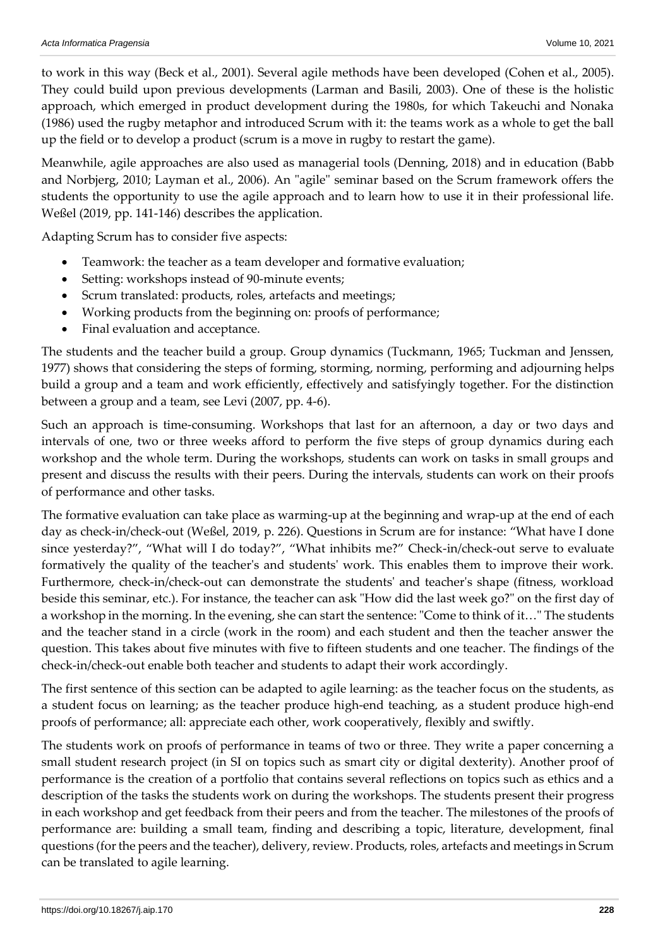to work in this way (Beck et al., 2001). Several agile methods have been developed (Cohen et al., 2005). They could build upon previous developments (Larman and Basili, 2003). One of these is the holistic approach, which emerged in product development during the 1980s, for which Takeuchi and Nonaka (1986) used the rugby metaphor and introduced Scrum with it: the teams work as a whole to get the ball up the field or to develop a product (scrum is a move in rugby to restart the game).

Meanwhile, agile approaches are also used as managerial tools (Denning, 2018) and in education (Babb and Norbjerg, 2010; Layman et al., 2006). An "agile" seminar based on the Scrum framework offers the students the opportunity to use the agile approach and to learn how to use it in their professional life. Weßel (2019, pp. 141-146) describes the application.

Adapting Scrum has to consider five aspects:

- Teamwork: the teacher as a team developer and formative evaluation;
- Setting: workshops instead of 90-minute events;
- Scrum translated: products, roles, artefacts and meetings;
- Working products from the beginning on: proofs of performance;
- Final evaluation and acceptance.

The students and the teacher build a group. Group dynamics (Tuckmann, 1965; Tuckman and Jenssen, 1977) shows that considering the steps of forming, storming, norming, performing and adjourning helps build a group and a team and work efficiently, effectively and satisfyingly together. For the distinction between a group and a team, see Levi (2007, pp. 4-6).

Such an approach is time-consuming. Workshops that last for an afternoon, a day or two days and intervals of one, two or three weeks afford to perform the five steps of group dynamics during each workshop and the whole term. During the workshops, students can work on tasks in small groups and present and discuss the results with their peers. During the intervals, students can work on their proofs of performance and other tasks.

The formative evaluation can take place as warming-up at the beginning and wrap-up at the end of each day as check-in/check-out (Weßel, 2019, p. 226). Questions in Scrum are for instance: "What have I done since yesterday?", "What will I do today?", "What inhibits me?" Check-in/check-out serve to evaluate formatively the quality of the teacher's and students' work. This enables them to improve their work. Furthermore, check-in/check-out can demonstrate the students' and teacher's shape (fitness, workload beside this seminar, etc.). For instance, the teacher can ask "How did the last week go?" on the first day of a workshop in the morning. In the evening, she can start the sentence: "Come to think of it…" The students and the teacher stand in a circle (work in the room) and each student and then the teacher answer the question. This takes about five minutes with five to fifteen students and one teacher. The findings of the check-in/check-out enable both teacher and students to adapt their work accordingly.

The first sentence of this section can be adapted to agile learning: as the teacher focus on the students, as a student focus on learning; as the teacher produce high-end teaching, as a student produce high-end proofs of performance; all: appreciate each other, work cooperatively, flexibly and swiftly.

The students work on proofs of performance in teams of two or three. They write a paper concerning a small student research project (in SI on topics such as smart city or digital dexterity). Another proof of performance is the creation of a portfolio that contains several reflections on topics such as ethics and a description of the tasks the students work on during the workshops. The students present their progress in each workshop and get feedback from their peers and from the teacher. The milestones of the proofs of performance are: building a small team, finding and describing a topic, literature, development, final questions (for the peers and the teacher), delivery, review. Products, roles, artefacts and meetings in Scrum can be translated to agile learning.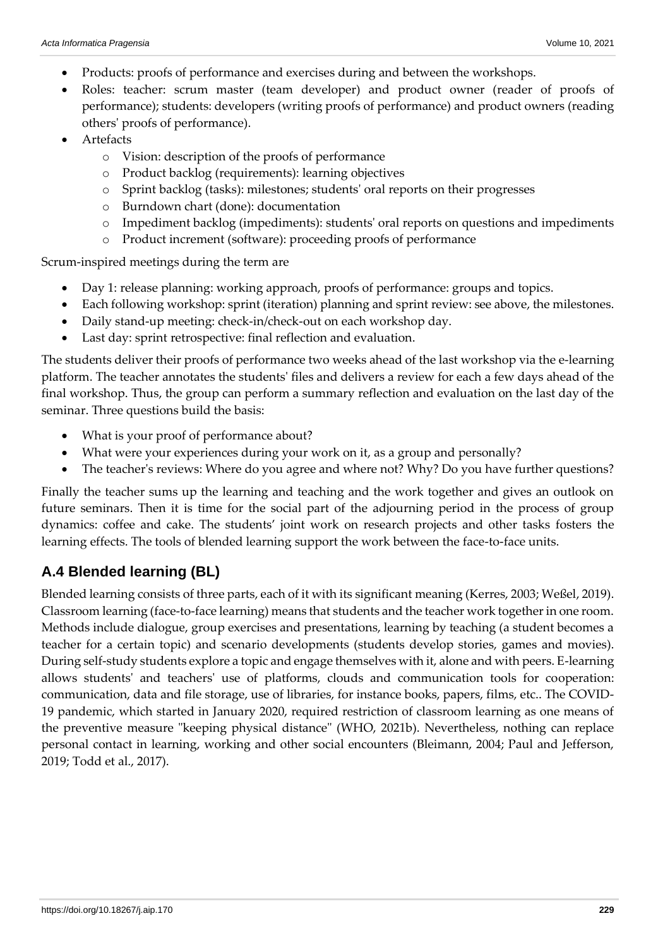- Products: proofs of performance and exercises during and between the workshops.
- Roles: teacher: scrum master (team developer) and product owner (reader of proofs of performance); students: developers (writing proofs of performance) and product owners (reading others' proofs of performance).
- **Artefacts** 
	- o Vision: description of the proofs of performance
	- o Product backlog (requirements): learning objectives
	- o Sprint backlog (tasks): milestones; students' oral reports on their progresses
	- o Burndown chart (done): documentation
	- o Impediment backlog (impediments): students' oral reports on questions and impediments
	- o Product increment (software): proceeding proofs of performance

Scrum-inspired meetings during the term are

- Day 1: release planning: working approach, proofs of performance: groups and topics.
- Each following workshop: sprint (iteration) planning and sprint review: see above, the milestones.
- Daily stand-up meeting: check-in/check-out on each workshop day.
- Last day: sprint retrospective: final reflection and evaluation.

The students deliver their proofs of performance two weeks ahead of the last workshop via the e-learning platform. The teacher annotates the students' files and delivers a review for each a few days ahead of the final workshop. Thus, the group can perform a summary reflection and evaluation on the last day of the seminar. Three questions build the basis:

- What is your proof of performance about?
- What were your experiences during your work on it, as a group and personally?
- The teacher's reviews: Where do you agree and where not? Why? Do you have further questions?

Finally the teacher sums up the learning and teaching and the work together and gives an outlook on future seminars. Then it is time for the social part of the adjourning period in the process of group dynamics: coffee and cake. The students' joint work on research projects and other tasks fosters the learning effects. The tools of blended learning support the work between the face-to-face units.

## **A.4 Blended learning (BL)**

Blended learning consists of three parts, each of it with its significant meaning (Kerres, 2003; Weßel, 2019). Classroom learning (face-to-face learning) means that students and the teacher work together in one room. Methods include dialogue, group exercises and presentations, learning by teaching (a student becomes a teacher for a certain topic) and scenario developments (students develop stories, games and movies). During self-study students explore a topic and engage themselves with it, alone and with peers. E-learning allows students' and teachers' use of platforms, clouds and communication tools for cooperation: communication, data and file storage, use of libraries, for instance books, papers, films, etc.. The COVID-19 pandemic, which started in January 2020, required restriction of classroom learning as one means of the preventive measure "keeping physical distance" (WHO, 2021b). Nevertheless, nothing can replace personal contact in learning, working and other social encounters (Bleimann, 2004; Paul and Jefferson, 2019; Todd et al., 2017).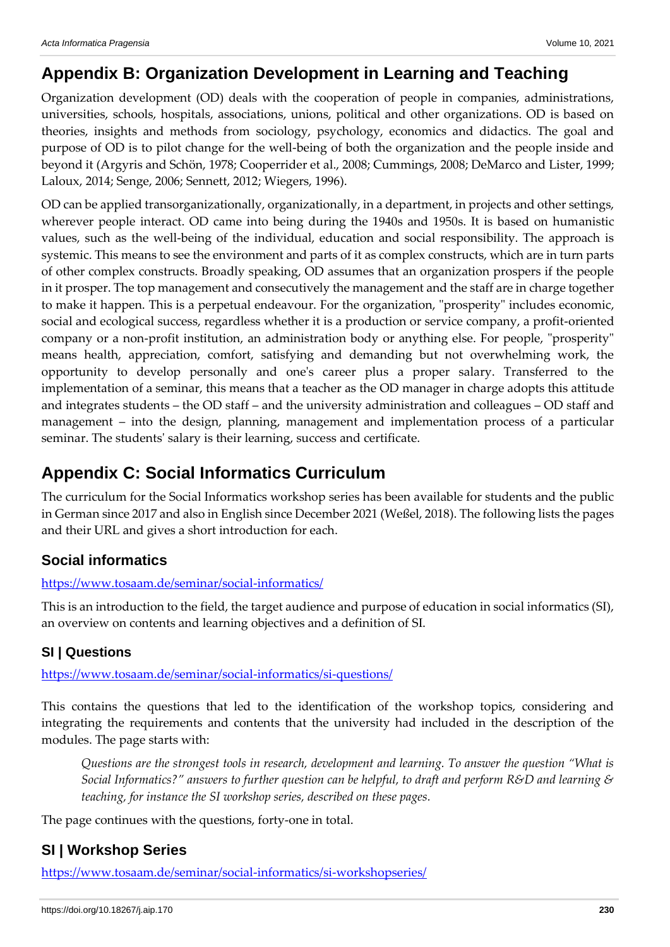## **Appendix B: Organization Development in Learning and Teaching**

Organization development (OD) deals with the cooperation of people in companies, administrations, universities, schools, hospitals, associations, unions, political and other organizations. OD is based on theories, insights and methods from sociology, psychology, economics and didactics. The goal and purpose of OD is to pilot change for the well-being of both the organization and the people inside and beyond it (Argyris and Schön, 1978; Cooperrider et al., 2008; Cummings, 2008; DeMarco and Lister, 1999; Laloux, 2014; Senge, 2006; Sennett, 2012; Wiegers, 1996).

OD can be applied transorganizationally, organizationally, in a department, in projects and other settings, wherever people interact. OD came into being during the 1940s and 1950s. It is based on humanistic values, such as the well-being of the individual, education and social responsibility. The approach is systemic. This means to see the environment and parts of it as complex constructs, which are in turn parts of other complex constructs. Broadly speaking, OD assumes that an organization prospers if the people in it prosper. The top management and consecutively the management and the staff are in charge together to make it happen. This is a perpetual endeavour. For the organization, "prosperity" includes economic, social and ecological success, regardless whether it is a production or service company, a profit-oriented company or a non-profit institution, an administration body or anything else. For people, "prosperity" means health, appreciation, comfort, satisfying and demanding but not overwhelming work, the opportunity to develop personally and one's career plus a proper salary. Transferred to the implementation of a seminar, this means that a teacher as the OD manager in charge adopts this attitude and integrates students – the OD staff – and the university administration and colleagues – OD staff and management – into the design, planning, management and implementation process of a particular seminar. The students' salary is their learning, success and certificate.

# **Appendix C: Social Informatics Curriculum**

The curriculum for the Social Informatics workshop series has been available for students and the public in German since 2017 and also in English since December 2021 (Weßel, 2018). The following lists the pages and their URL and gives a short introduction for each.

## **Social informatics**

### <https://www.tosaam.de/seminar/social-informatics/>

This is an introduction to the field, the target audience and purpose of education in social informatics (SI), an overview on contents and learning objectives and a definition of SI.

## **SI | Questions**

<https://www.tosaam.de/seminar/social-informatics/si-questions/>

This contains the questions that led to the identification of the workshop topics, considering and integrating the requirements and contents that the university had included in the description of the modules. The page starts with:

*Questions are the strongest tools in research, development and learning. To answer the question "What is Social Informatics?" answers to further question can be helpful, to draft and perform R&D and learning & teaching, for instance the SI workshop series, described on these pages.*

The page continues with the questions, forty-one in total.

## **SI | Workshop Series**

<https://www.tosaam.de/seminar/social-informatics/si-workshopseries/>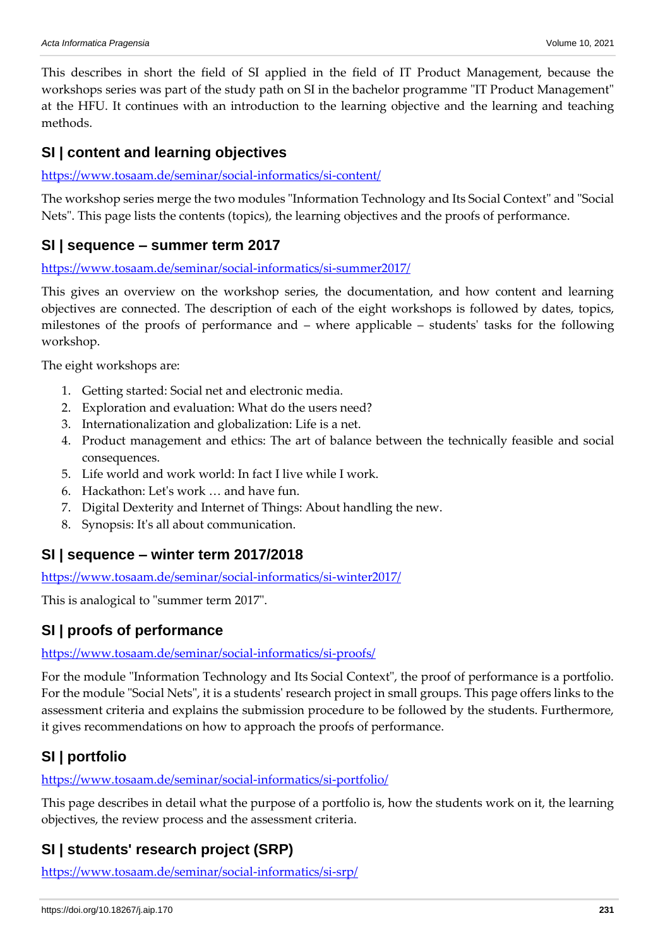This describes in short the field of SI applied in the field of IT Product Management, because the workshops series was part of the study path on SI in the bachelor programme "IT Product Management" at the HFU. It continues with an introduction to the learning objective and the learning and teaching methods.

### **SI | content and learning objectives**

#### <https://www.tosaam.de/seminar/social-informatics/si-content/>

The workshop series merge the two modules "Information Technology and Its Social Context" and "Social Nets". This page lists the contents (topics), the learning objectives and the proofs of performance.

### **SI | sequence – summer term 2017**

#### <https://www.tosaam.de/seminar/social-informatics/si-summer2017/>

This gives an overview on the workshop series, the documentation, and how content and learning objectives are connected. The description of each of the eight workshops is followed by dates, topics, milestones of the proofs of performance and – where applicable – students' tasks for the following workshop.

The eight workshops are:

- 1. Getting started: Social net and electronic media.
- 2. Exploration and evaluation: What do the users need?
- 3. Internationalization and globalization: Life is a net.
- 4. Product management and ethics: The art of balance between the technically feasible and social consequences.
- 5. Life world and work world: In fact I live while I work.
- 6. Hackathon: Let's work … and have fun.
- 7. Digital Dexterity and Internet of Things: About handling the new.
- 8. Synopsis: It's all about communication.

### **SI | sequence – winter term 2017/2018**

<https://www.tosaam.de/seminar/social-informatics/si-winter2017/>

This is analogical to "summer term 2017".

## **SI | proofs of performance**

<https://www.tosaam.de/seminar/social-informatics/si-proofs/>

For the module "Information Technology and Its Social Context", the proof of performance is a portfolio. For the module "Social Nets", it is a students' research project in small groups. This page offers links to the assessment criteria and explains the submission procedure to be followed by the students. Furthermore, it gives recommendations on how to approach the proofs of performance.

## **SI | portfolio**

<https://www.tosaam.de/seminar/social-informatics/si-portfolio/>

This page describes in detail what the purpose of a portfolio is, how the students work on it, the learning objectives, the review process and the assessment criteria.

## **SI | students' research project (SRP)**

<https://www.tosaam.de/seminar/social-informatics/si-srp/>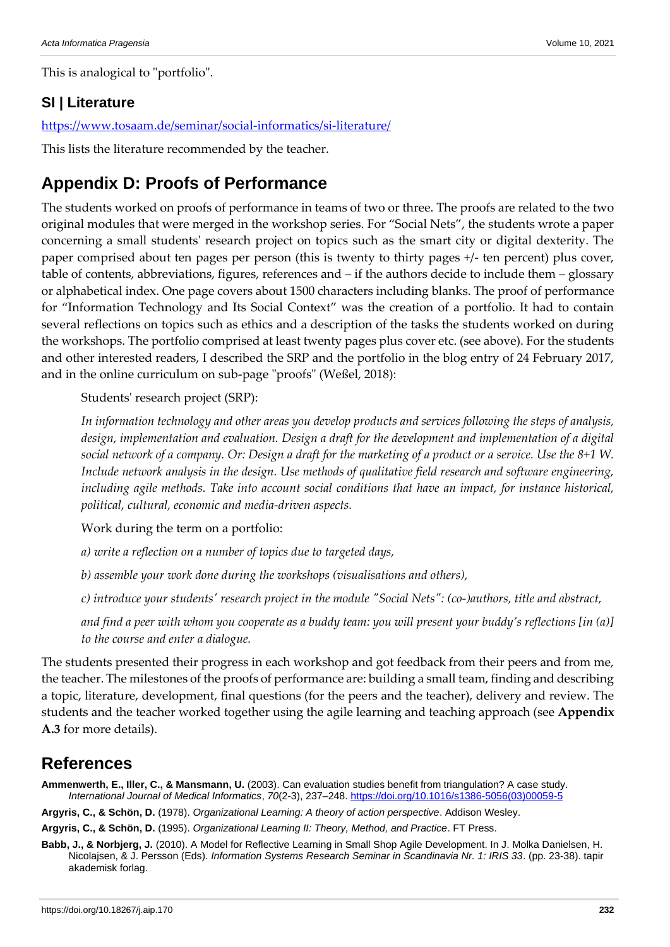This is analogical to "portfolio".

## **SI | Literature**

<https://www.tosaam.de/seminar/social-informatics/si-literature/>

This lists the literature recommended by the teacher.

## **Appendix D: Proofs of Performance**

The students worked on proofs of performance in teams of two or three. The proofs are related to the two original modules that were merged in the workshop series. For "Social Nets", the students wrote a paper concerning a small students' research project on topics such as the smart city or digital dexterity. The paper comprised about ten pages per person (this is twenty to thirty pages +/- ten percent) plus cover, table of contents, abbreviations, figures, references and – if the authors decide to include them – glossary or alphabetical index. One page covers about 1500 characters including blanks. The proof of performance for "Information Technology and Its Social Context" was the creation of a portfolio. It had to contain several reflections on topics such as ethics and a description of the tasks the students worked on during the workshops. The portfolio comprised at least twenty pages plus cover etc. (see above). For the students and other interested readers, I described the SRP and the portfolio in the blog entry of 24 February 2017, and in the online curriculum on sub-page "proofs" (Weßel, 2018):

Students' research project (SRP):

*In information technology and other areas you develop products and services following the steps of analysis, design, implementation and evaluation. Design a draft for the development and implementation of a digital social network of a company. Or: Design a draft for the marketing of a product or a service. Use the 8+1 W. Include network analysis in the design. Use methods of qualitative field research and software engineering, including agile methods. Take into account social conditions that have an impact, for instance historical, political, cultural, economic and media-driven aspects.*

Work during the term on a portfolio:

*a) write a reflection on a number of topics due to targeted days,*

*b) assemble your work done during the workshops (visualisations and others),*

*c) introduce your students' research project in the module "Social Nets": (co-)authors, title and abstract,*

*and find a peer with whom you cooperate as a buddy team: you will present your buddy's reflections [in (a)] to the course and enter a dialogue.*

The students presented their progress in each workshop and got feedback from their peers and from me, the teacher. The milestones of the proofs of performance are: building a small team, finding and describing a topic, literature, development, final questions (for the peers and the teacher), delivery and review. The students and the teacher worked together using the agile learning and teaching approach (see **Appendix A.3** for more details).

## **References**

**Ammenwerth, E., Iller, C., & Mansmann, U.** (2003). Can evaluation studies benefit from triangulation? A case study. *International Journal of Medical Informatics*, *70*(2-3), 237–248[. https://doi.org/10.1016/s1386-5056\(03\)00059-5](https://doi.org/10.1016/s1386-5056(03)00059-5)

**Argyris, C., & Schön, D.** (1978). *Organizational Learning: A theory of action perspective*. Addison Wesley.

**Argyris, C., & Schön, D.** (1995). *Organizational Learning II: Theory, Method, and Practice*. FT Press.

**Babb, J., & Norbjerg, J.** (2010). A Model for Reflective Learning in Small Shop Agile Development. In J. Molka Danielsen, H. Nicolajsen, & J. Persson (Eds). *Information Systems Research Seminar in Scandinavia Nr. 1: IRIS 33*. (pp. 23-38). tapir akademisk forlag.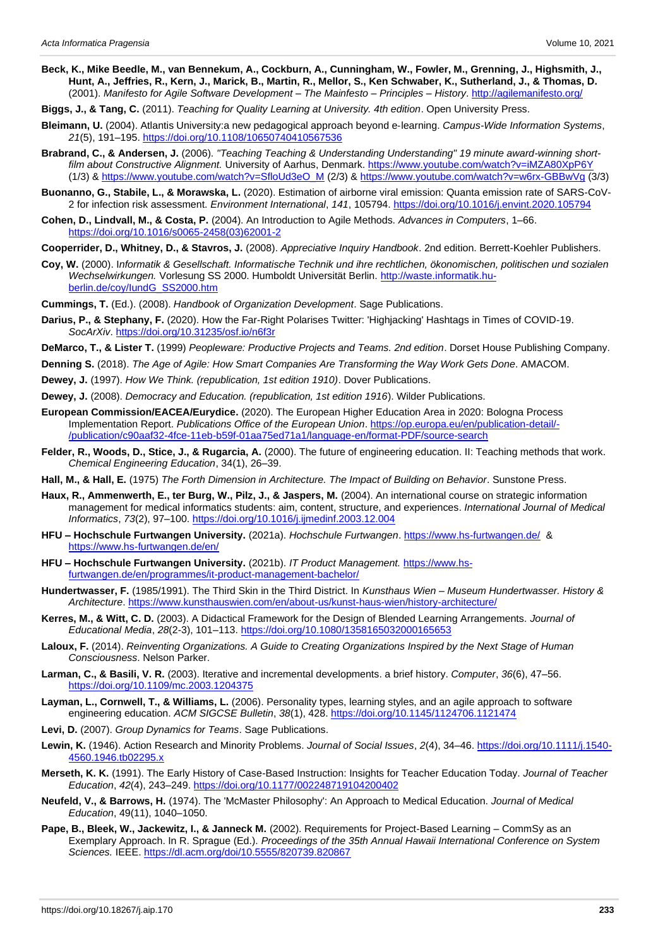- **Beck, K., Mike Beedle, M., van Bennekum, A., Cockburn, A., Cunningham, W., Fowler, M., Grenning, J., Highsmith, J., Hunt, A., Jeffries, R., Kern, J., Marick, B., Martin, R., Mellor, S., Ken Schwaber, K., Sutherland, J., & Thomas, D.**  (2001). *Manifesto for Agile Software Development – The Mainfesto – Principles – History*.<http://agilemanifesto.org/>
- **Biggs, J., & Tang, C.** (2011). *Teaching for Quality Learning at University. 4th edition*. Open University Press.
- **Bleimann, U.** (2004). Atlantis University:a new pedagogical approach beyond e‐learning. *Campus-Wide Information Systems*, *21*(5), 191–195.<https://doi.org/10.1108/10650740410567536>
- **Brabrand, C., & Andersen, J.** (2006). *"Teaching Teaching & Understanding Understanding" 19 minute award-winning shortfilm about Constructive Alignment.* University of Aarhus, Denmark.<https://www.youtube.com/watch?v=iMZA80XpP6Y> (1/3) [& https://www.youtube.com/watch?v=SfloUd3eO\\_M](https://www.youtube.com/watch?v=SfloUd3eO_M) (2/3) &<https://www.youtube.com/watch?v=w6rx-GBBwVg> (3/3)
- **Buonanno, G., Stabile, L., & Morawska, L.** (2020). Estimation of airborne viral emission: Quanta emission rate of SARS-CoV-2 for infection risk assessment. *Environment International*, *141*, 105794[. https://doi.org/10.1016/j.envint.2020.105794](https://doi.org/10.1016/j.envint.2020.105794)
- **Cohen, D., Lindvall, M., & Costa, P.** (2004). An Introduction to Agile Methods. *Advances in Computers*, 1–66. [https://doi.org/10.1016/s0065-2458\(03\)62001-2](https://doi.org/10.1016/s0065-2458(03)62001-2)
- **Cooperrider, D., Whitney, D., & Stavros, J.** (2008). *Appreciative Inquiry Handbook*. 2nd edition. Berrett-Koehler Publishers.
- **Coy, W.** (2000). I*nformatik & Gesellschaft. Informatische Technik und ihre rechtlichen, ökonomischen, politischen und sozialen Wechselwirkungen.* Vorlesung SS 2000. Humboldt Universität Berlin. [http://waste.informatik.hu](http://waste.informatik.hu-berlin.de/coy/IundG_SS2000.htm)[berlin.de/coy/IundG\\_SS2000.htm](http://waste.informatik.hu-berlin.de/coy/IundG_SS2000.htm)
- **Cummings, T.** (Ed.). (2008). *Handbook of Organization Development*. Sage Publications.
- **Darius, P., & Stephany, F.** (2020). How the Far-Right Polarises Twitter: 'Highjacking' Hashtags in Times of COVID-19. *SocArXiv*.<https://doi.org/10.31235/osf.io/n6f3r>
- **DeMarco, T., & Lister T.** (1999) *Peopleware: Productive Projects and Teams. 2nd edition*. Dorset House Publishing Company.
- **Denning S.** (2018). *The Age of Agile: How Smart Companies Are Transforming the Way Work Gets Done*. AMACOM.
- **Dewey, J.** (1997). *How We Think. (republication, 1st edition 1910)*. Dover Publications.
- **Dewey, J.** (2008). *Democracy and Education. (republication, 1st edition 1916*). Wilder Publications.
- **European Commission/EACEA/Eurydice.** (2020). The European Higher Education Area in 2020: Bologna Process Implementation Report. *Publications Office of the European Union*. [https://op.europa.eu/en/publication-detail/-](https://op.europa.eu/en/publication-detail/-/publication/c90aaf32-4fce-11eb-b59f-01aa75ed71a1/language-en/format-PDF/source-search) [/publication/c90aaf32-4fce-11eb-b59f-01aa75ed71a1/language-en/format-PDF/source-search](https://op.europa.eu/en/publication-detail/-/publication/c90aaf32-4fce-11eb-b59f-01aa75ed71a1/language-en/format-PDF/source-search)
- **Felder, R., Woods, D., Stice, J., & Rugarcia, A.** (2000). The future of engineering education. II: Teaching methods that work. *Chemical Engineering Education*, 34(1), 26–39.
- **Hall, M., & Hall, E.** (1975) *The Forth Dimension in Architecture. The Impact of Building on Behavior*. Sunstone Press.
- **Haux, R., Ammenwerth, E., ter Burg, W., Pilz, J., & Jaspers, M.** (2004). An international course on strategic information management for medical informatics students: aim, content, structure, and experiences. *International Journal of Medical Informatics*, *73*(2), 97–100.<https://doi.org/10.1016/j.ijmedinf.2003.12.004>
- **HFU – Hochschule Furtwangen University.** (2021a). *Hochschule Furtwangen*.<https://www.hs-furtwangen.de/> & <https://www.hs-furtwangen.de/en/>
- **HFU – Hochschule Furtwangen University.** (2021b). *IT Product Management.* [https://www.hs](https://www.hs-furtwangen.de/en/programmes/it-product-management-bachelor/)[furtwangen.de/en/programmes/it-product-management-bachelor/](https://www.hs-furtwangen.de/en/programmes/it-product-management-bachelor/)
- **Hundertwasser, F.** (1985/1991). The Third Skin in the Third District. In *Kunsthaus Wien – Museum Hundertwasser. History & Architecture*.<https://www.kunsthauswien.com/en/about-us/kunst-haus-wien/history-architecture/>
- **Kerres, M., & Witt, C. D.** (2003). A Didactical Framework for the Design of Blended Learning Arrangements. *Journal of Educational Media*, *28*(2-3), 101–113.<https://doi.org/10.1080/1358165032000165653>
- **Laloux, F.** (2014). *Reinventing Organizations. A Guide to Creating Organizations Inspired by the Next Stage of Human Consciousness*. Nelson Parker.
- **Larman, C., & Basili, V. R.** (2003). Iterative and incremental developments. a brief history. *Computer*, *36*(6), 47–56. <https://doi.org/10.1109/mc.2003.1204375>
- **Layman, L., Cornwell, T., & Williams, L.** (2006). Personality types, learning styles, and an agile approach to software engineering education. *ACM SIGCSE Bulletin*, *38*(1), 428.<https://doi.org/10.1145/1124706.1121474>
- **Levi, D.** (2007). *Group Dynamics for Teams*. Sage Publications.
- **Lewin, K.** (1946). Action Research and Minority Problems. *Journal of Social Issues*, *2*(4), 34–46. [https://doi.org/10.1111/j.1540-](https://doi.org/10.1111/j.1540-4560.1946.tb02295.x) [4560.1946.tb02295.x](https://doi.org/10.1111/j.1540-4560.1946.tb02295.x)
- **Merseth, K. K.** (1991). The Early History of Case-Based Instruction: Insights for Teacher Education Today. *Journal of Teacher Education*, *42*(4), 243–249.<https://doi.org/10.1177/002248719104200402>
- **Neufeld, V., & Barrows, H.** (1974). The 'McMaster Philosophy': An Approach to Medical Education. *Journal of Medical Education*, 49(11), 1040–1050.
- **Pape, B., Bleek, W., Jackewitz, I., & Janneck M.** (2002). Requirements for Project-Based Learning CommSy as an Exemplary Approach. In R. Sprague (Ed.). *Proceedings of the 35th Annual Hawaii International Conference on System Sciences.* IEEE.<https://dl.acm.org/doi/10.5555/820739.820867>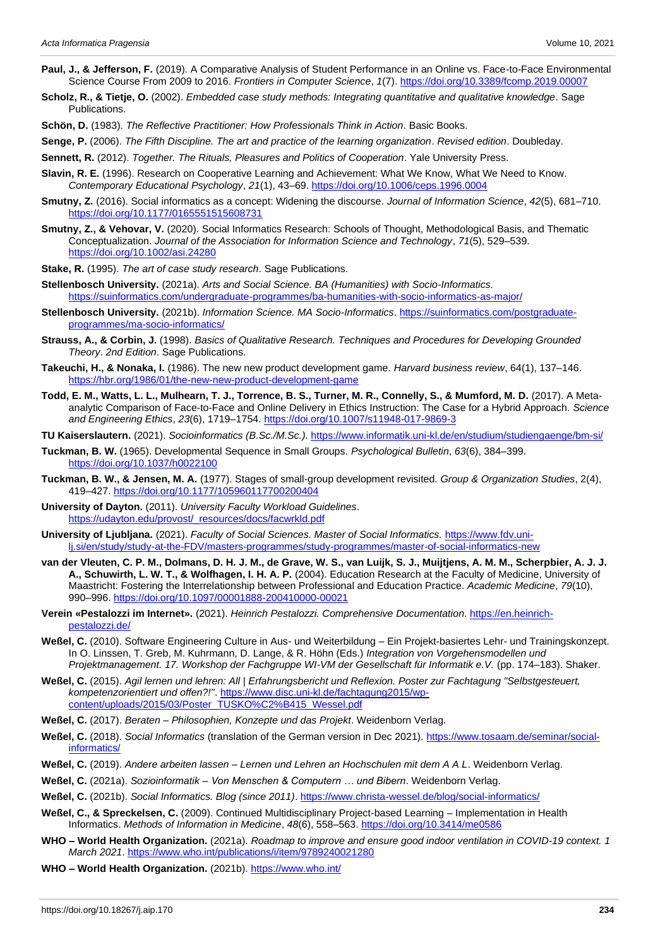- **Paul, J., & Jefferson, F.** (2019). A Comparative Analysis of Student Performance in an Online vs. Face-to-Face Environmental Science Course From 2009 to 2016. *Frontiers in Computer Science*, *1*(7)[. https://doi.org/10.3389/fcomp.2019.00007](https://doi.org/10.3389/fcomp.2019.00007)
- **Scholz, R., & Tietje, O.** (2002). *Embedded case study methods: Integrating quantitative and qualitative knowledge*. Sage Publications.
- **Schön, D.** (1983). *The Reflective Practitioner: How Professionals Think in Action*. Basic Books.
- **Senge, P.** (2006). *The Fifth Discipline. The art and practice of the learning organization*. *Revised edition*. Doubleday.
- **Sennett, R.** (2012). *Together. The Rituals, Pleasures and Politics of Cooperation*. Yale University Press.
- **Slavin, R. E.** (1996). Research on Cooperative Learning and Achievement: What We Know, What We Need to Know. *Contemporary Educational Psychology*, *21*(1), 43–69.<https://doi.org/10.1006/ceps.1996.0004>
- **Smutny, Z.** (2016). Social informatics as a concept: Widening the discourse. *Journal of Information Science*, *42*(5), 681–710. <https://doi.org/10.1177/0165551515608731>
- **Smutny, Z., & Vehovar, V.** (2020). Social Informatics Research: Schools of Thought, Methodological Basis, and Thematic Conceptualization. *Journal of the Association for Information Science and Technology*, *71*(5), 529–539. <https://doi.org/10.1002/asi.24280>
- **Stake, R.** (1995). *The art of case study research*. Sage Publications.
- **Stellenbosch University.** (2021a). *Arts and Social Science. BA (Humanities) with Socio-Informatics.* <https://suinformatics.com/undergraduate-programmes/ba-humanities-with-socio-informatics-as-major/>
- **Stellenbosch University.** (2021b). *Information Science. MA Socio-Informatics*. [https://suinformatics.com/postgraduate](https://suinformatics.com/postgraduate-programmes/ma-socio-informatics/)[programmes/ma-socio-informatics/](https://suinformatics.com/postgraduate-programmes/ma-socio-informatics/)
- **Strauss, A., & Corbin, J.** (1998). *Basics of Qualitative Research. Techniques and Procedures for Developing Grounded Theory*. *2nd Edition*. Sage Publications.
- **Takeuchi, H., & Nonaka, I.** (1986). The new new product development game. *Harvard business review*, 64(1), 137–146. <https://hbr.org/1986/01/the-new-new-product-development-game>
- **Todd, E. M., Watts, L. L., Mulhearn, T. J., Torrence, B. S., Turner, M. R., Connelly, S., & Mumford, M. D.** (2017). A Metaanalytic Comparison of Face-to-Face and Online Delivery in Ethics Instruction: The Case for a Hybrid Approach. *Science and Engineering Ethics*, *23*(6), 1719–1754[. https://doi.org/10.1007/s11948-017-9869-3](https://doi.org/10.1007/s11948-017-9869-3)
- **TU Kaiserslautern.** (2021). *Socioinformatics (B.Sc./M.Sc.).* <https://www.informatik.uni-kl.de/en/studium/studiengaenge/bm-si/>
- **Tuckman, B. W.** (1965). Developmental Sequence in Small Groups. *Psychological Bulletin*, *63*(6), 384–399. <https://doi.org/10.1037/h0022100>
- **Tuckman, B. W., & Jensen, M. A.** (1977). Stages of small-group development revisited. *Group & Organization Studies*, 2(4), 419–427.<https://doi.org/10.1177/105960117700200404>
- **University of Dayton.** (2011). *University Faculty Workload Guidelines*. [https://udayton.edu/provost/\\_resources/docs/facwrkld.pdf](https://udayton.edu/provost/_resources/docs/facwrkld.pdf)
- **University of Ljubljana.** (2021). *Faculty of Social Sciences. Master of Social Informatics.* [https://www.fdv.uni](https://www.fdv.uni-lj.si/en/study/study-at-the-FDV/masters-programmes/study-programmes/master-of-social-informatics-new)[lj.si/en/study/study-at-the-FDV/masters-programmes/study-programmes/master-of-social-informatics-new](https://www.fdv.uni-lj.si/en/study/study-at-the-FDV/masters-programmes/study-programmes/master-of-social-informatics-new)
- **van der Vleuten, C. P. M., Dolmans, D. H. J. M., de Grave, W. S., van Luijk, S. J., Muijtjens, A. M. M., Scherpbier, A. J. J. A., Schuwirth, L. W. T., & Wolfhagen, I. H. A. P.** (2004). Education Research at the Faculty of Medicine, University of Maastricht: Fostering the Interrelationship between Professional and Education Practice. *Academic Medicine*, *79*(10), 990–996.<https://doi.org/10.1097/00001888-200410000-00021>
- **Verein «Pestalozzi im Internet».** (2021). *Heinrich Pestalozzi. Comprehensive Documentation*[. https://en.heinrich](https://en.heinrich-pestalozzi.de/)[pestalozzi.de/](https://en.heinrich-pestalozzi.de/)
- **Weßel, C.** (2010). Software Engineering Culture in Aus- und Weiterbildung Ein Projekt-basiertes Lehr- und Trainingskonzept. In O. Linssen, T. Greb, M. Kuhrmann, D. Lange, & R. Höhn (Eds.) *Integration von Vorgehensmodellen und Projektmanagement. 17. Workshop der Fachgruppe WI-VM der Gesellschaft für Informatik e.V.* (pp. 174–183). Shaker.
- **Weßel, C.** (2015). *Agil lernen und lehren: All | Erfahrungsbericht und Reflexion. Poster zur Fachtagung "Selbstgesteuert, kompetenzorientiert und offen?!"*[. https://www.disc.uni-kl.de/fachtagung2015/wp](https://www.disc.uni-kl.de/fachtagung2015/wp-content/uploads/2015/03/Poster_TUSKO%C2%B415_Wessel.pdf)[content/uploads/2015/03/Poster\\_TUSKO%C2%B415\\_Wessel.pdf](https://www.disc.uni-kl.de/fachtagung2015/wp-content/uploads/2015/03/Poster_TUSKO%C2%B415_Wessel.pdf)
- **Weßel, C.** (2017). *Beraten – Philosophien, Konzepte und das Projekt*. Weidenborn Verlag.
- **Weßel, C.** (2018). *Social Informatics* (translation of the German version in Dec 2021). [https://www.tosaam.de/seminar/social](https://www.tosaam.de/seminar/social-informatics/)[informatics/](https://www.tosaam.de/seminar/social-informatics/)
- **Weßel, C.** (2019). *Andere arbeiten lassen – Lernen und Lehren an Hochschulen mit dem A A L*. Weidenborn Verlag.
- **Weßel, C.** (2021a). *Sozioinformatik – Von Menschen & Computern … und Bibern*. Weidenborn Verlag.
- **Weßel, C.** (2021b). *Social Informatics. Blog (since 2011)*.<https://www.christa-wessel.de/blog/social-informatics/>
- **Weßel, C., & Spreckelsen, C.** (2009). Continued Multidisciplinary Project-based Learning Implementation in Health Informatics. *Methods of Information in Medicine*, *48*(6), 558–563.<https://doi.org/10.3414/me0586>
- **WHO – World Health Organization.** (2021a). *Roadmap to improve and ensure good indoor ventilation in COVID-19 context. 1 March 2021*[. https://www.who.int/publications/i/item/9789240021280](https://www.who.int/publications/i/item/9789240021280)
- **WHO – World Health Organization.** (2021b).<https://www.who.int/>